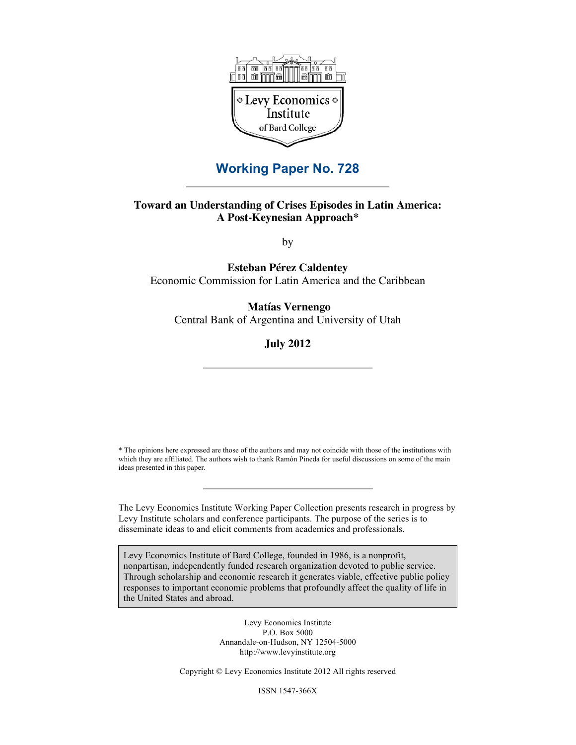

## **Working Paper No. 728**

### **Toward an Understanding of Crises Episodes in Latin America: A Post-Keynesian Approach\***

by

**Esteban Pérez Caldentey** Economic Commission for Latin America and the Caribbean

### **Matías Vernengo**

Central Bank of Argentina and University of Utah

**July 2012**

\* The opinions here expressed are those of the authors and may not coincide with those of the institutions with which they are affiliated. The authors wish to thank Ramón Pineda for useful discussions on some of the main ideas presented in this paper.

The Levy Economics Institute Working Paper Collection presents research in progress by Levy Institute scholars and conference participants. The purpose of the series is to disseminate ideas to and elicit comments from academics and professionals.

Levy Economics Institute of Bard College, founded in 1986, is a nonprofit, nonpartisan, independently funded research organization devoted to public service. Through scholarship and economic research it generates viable, effective public policy responses to important economic problems that profoundly affect the quality of life in the United States and abroad.

> Levy Economics Institute P.O. Box 5000 Annandale-on-Hudson, NY 12504-5000 http://www.levyinstitute.org

Copyright © Levy Economics Institute 2012 All rights reserved

ISSN 1547-366X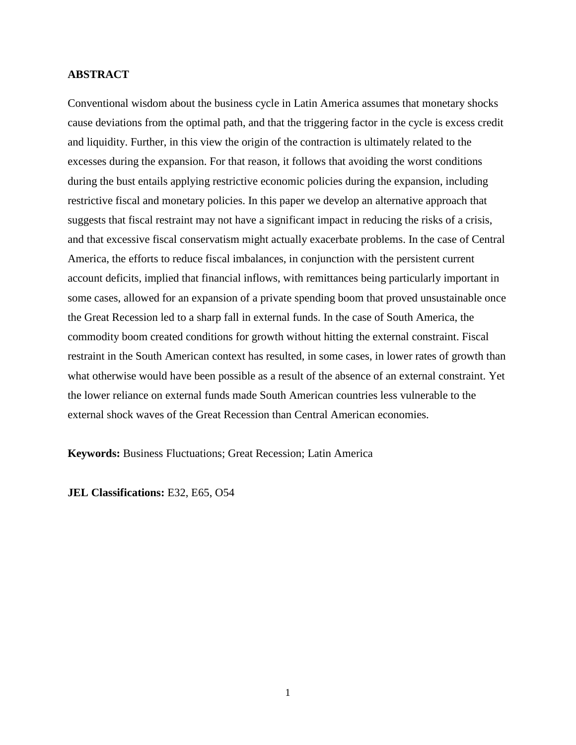### **ABSTRACT**

Conventional wisdom about the business cycle in Latin America assumes that monetary shocks cause deviations from the optimal path, and that the triggering factor in the cycle is excess credit and liquidity. Further, in this view the origin of the contraction is ultimately related to the excesses during the expansion. For that reason, it follows that avoiding the worst conditions during the bust entails applying restrictive economic policies during the expansion, including restrictive fiscal and monetary policies. In this paper we develop an alternative approach that suggests that fiscal restraint may not have a significant impact in reducing the risks of a crisis, and that excessive fiscal conservatism might actually exacerbate problems. In the case of Central America, the efforts to reduce fiscal imbalances, in conjunction with the persistent current account deficits, implied that financial inflows, with remittances being particularly important in some cases, allowed for an expansion of a private spending boom that proved unsustainable once the Great Recession led to a sharp fall in external funds. In the case of South America, the commodity boom created conditions for growth without hitting the external constraint. Fiscal restraint in the South American context has resulted, in some cases, in lower rates of growth than what otherwise would have been possible as a result of the absence of an external constraint. Yet the lower reliance on external funds made South American countries less vulnerable to the external shock waves of the Great Recession than Central American economies.

**Keywords:** Business Fluctuations; Great Recession; Latin America

**JEL Classifications:** E32, E65, O54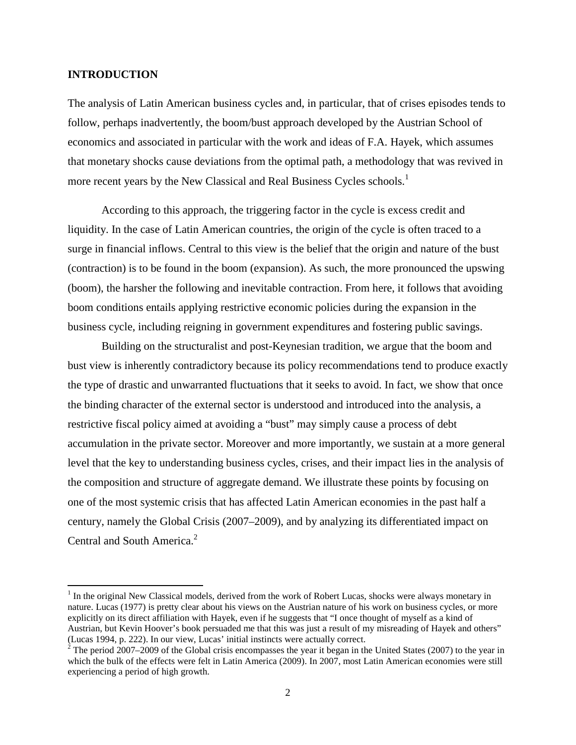### **INTRODUCTION**

The analysis of Latin American business cycles and, in particular, that of crises episodes tends to follow, perhaps inadvertently, the boom/bust approach developed by the Austrian School of economics and associated in particular with the work and ideas of F.A. Hayek, which assumes that monetary shocks cause deviations from the optimal path, a methodology that was revived in more recent years by the New Classical and Real Business Cycles schools.<sup>[1](#page-2-0)</sup>

According to this approach, the triggering factor in the cycle is excess credit and liquidity. In the case of Latin American countries, the origin of the cycle is often traced to a surge in financial inflows. Central to this view is the belief that the origin and nature of the bust (contraction) is to be found in the boom (expansion). As such, the more pronounced the upswing (boom), the harsher the following and inevitable contraction. From here, it follows that avoiding boom conditions entails applying restrictive economic policies during the expansion in the business cycle, including reigning in government expenditures and fostering public savings.

Building on the structuralist and post-Keynesian tradition, we argue that the boom and bust view is inherently contradictory because its policy recommendations tend to produce exactly the type of drastic and unwarranted fluctuations that it seeks to avoid. In fact, we show that once the binding character of the external sector is understood and introduced into the analysis, a restrictive fiscal policy aimed at avoiding a "bust" may simply cause a process of debt accumulation in the private sector. Moreover and more importantly, we sustain at a more general level that the key to understanding business cycles, crises, and their impact lies in the analysis of the composition and structure of aggregate demand. We illustrate these points by focusing on one of the most systemic crisis that has affected Latin American economies in the past half a century, namely the Global Crisis (2007–2009), and by analyzing its differentiated impact on Central and South America.<sup>[2](#page-2-1)</sup>

<span id="page-2-0"></span><sup>&</sup>lt;sup>1</sup> In the original New Classical models, derived from the work of Robert Lucas, shocks were always monetary in nature. Lucas (1977) is pretty clear about his views on the Austrian nature of his work on business cycles, or more explicitly on its direct affiliation with Hayek, even if he suggests that "I once thought of myself as a kind of Austrian, but Kevin Hoover's book persuaded me that this was just a result of my misreading of Hayek and others" (Lucas 1994, p. 222). In our view, Lucas' initial instincts were actually correct.

<span id="page-2-1"></span> $2^{2}$  The period 2007–2009 of the Global crisis encompasses the year it began in the United States (2007) to the year in which the bulk of the effects were felt in Latin America (2009). In 2007, most Latin American economies were still experiencing a period of high growth.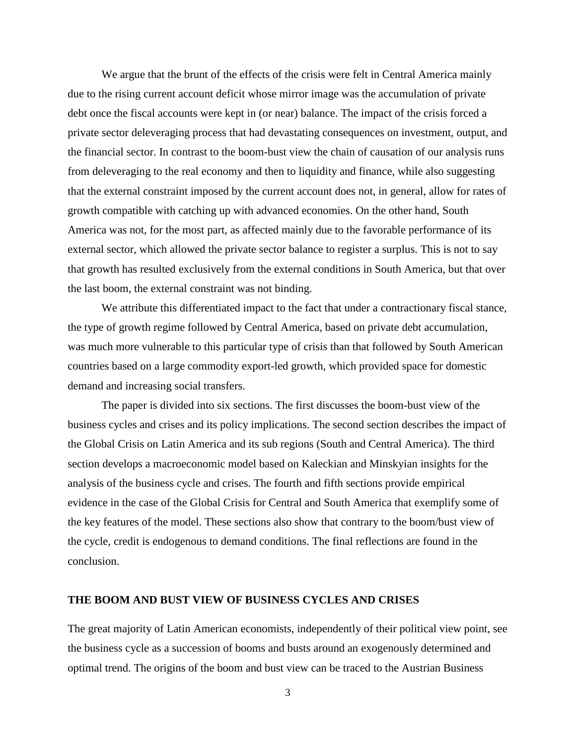We argue that the brunt of the effects of the crisis were felt in Central America mainly due to the rising current account deficit whose mirror image was the accumulation of private debt once the fiscal accounts were kept in (or near) balance. The impact of the crisis forced a private sector deleveraging process that had devastating consequences on investment, output, and the financial sector. In contrast to the boom-bust view the chain of causation of our analysis runs from deleveraging to the real economy and then to liquidity and finance, while also suggesting that the external constraint imposed by the current account does not, in general, allow for rates of growth compatible with catching up with advanced economies. On the other hand, South America was not, for the most part, as affected mainly due to the favorable performance of its external sector, which allowed the private sector balance to register a surplus. This is not to say that growth has resulted exclusively from the external conditions in South America, but that over the last boom, the external constraint was not binding.

We attribute this differentiated impact to the fact that under a contractionary fiscal stance, the type of growth regime followed by Central America, based on private debt accumulation, was much more vulnerable to this particular type of crisis than that followed by South American countries based on a large commodity export-led growth, which provided space for domestic demand and increasing social transfers.

The paper is divided into six sections. The first discusses the boom-bust view of the business cycles and crises and its policy implications. The second section describes the impact of the Global Crisis on Latin America and its sub regions (South and Central America). The third section develops a macroeconomic model based on Kaleckian and Minskyian insights for the analysis of the business cycle and crises. The fourth and fifth sections provide empirical evidence in the case of the Global Crisis for Central and South America that exemplify some of the key features of the model. These sections also show that contrary to the boom/bust view of the cycle, credit is endogenous to demand conditions. The final reflections are found in the conclusion.

### **THE BOOM AND BUST VIEW OF BUSINESS CYCLES AND CRISES**

The great majority of Latin American economists, independently of their political view point, see the business cycle as a succession of booms and busts around an exogenously determined and optimal trend. The origins of the boom and bust view can be traced to the Austrian Business

3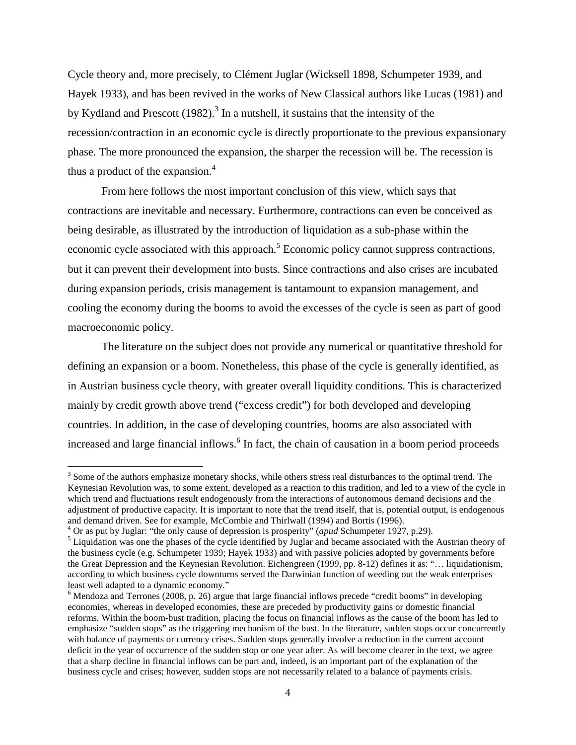Cycle theory and, more precisely, to Clément Juglar (Wicksell 1898, Schumpeter 1939, and Hayek 1933), and has been revived in the works of New Classical authors like Lucas (1981) and by Kydland and Prescott  $(1982)$ .<sup>[3](#page-4-0)</sup> In a nutshell, it sustains that the intensity of the recession/contraction in an economic cycle is directly proportionate to the previous expansionary phase. The more pronounced the expansion, the sharper the recession will be. The recession is thus a product of the expansion. $4$ 

From here follows the most important conclusion of this view, which says that contractions are inevitable and necessary. Furthermore, contractions can even be conceived as being desirable, as illustrated by the introduction of liquidation as a sub-phase within the economic cycle associated with this approach.<sup>[5](#page-4-2)</sup> Economic policy cannot suppress contractions, but it can prevent their development into busts. Since contractions and also crises are incubated during expansion periods, crisis management is tantamount to expansion management, and cooling the economy during the booms to avoid the excesses of the cycle is seen as part of good macroeconomic policy.

The literature on the subject does not provide any numerical or quantitative threshold for defining an expansion or a boom. Nonetheless, this phase of the cycle is generally identified, as in Austrian business cycle theory, with greater overall liquidity conditions. This is characterized mainly by credit growth above trend ("excess credit") for both developed and developing countries. In addition, in the case of developing countries, booms are also associated with increased and large financial inflows.<sup>6</sup> [I](#page-4-3)n fact, the chain of causation in a boom period proceeds

<span id="page-4-0"></span><sup>&</sup>lt;sup>3</sup> Some of the authors emphasize monetary shocks, while others stress real disturbances to the optimal trend. The Keynesian Revolution was, to some extent, developed as a reaction to this tradition, and led to a view of the cycle in which trend and fluctuations result endogenously from the interactions of autonomous demand decisions and the adjustment of productive capacity. It is important to note that the trend itself, that is, potential output, is endogenous and demand driven. See for example, McCombie and Thirlwall (1994) and Bortis (1996).

<span id="page-4-2"></span><span id="page-4-1"></span><sup>4</sup> Or as put by Juglar: "the only cause of depression is prosperity" (*apud* Schumpeter 1927, p.29).

<sup>&</sup>lt;sup>5</sup> Liquidation was one the phases of the cycle identified by Juglar and became associated with the Austrian theory of the business cycle (e.g. Schumpeter 1939; Hayek 1933) and with passive policies adopted by governments before the Great Depression and the Keynesian Revolution. Eichengreen (1999, pp. 8-12) defines it as: "… liquidationism, according to which business cycle downturns served the Darwinian function of weeding out the weak enterprises least well adapted to a dynamic economy."

<span id="page-4-3"></span><sup>&</sup>lt;sup>6</sup> Mendoza and Terrones (2008, p. 26) argue that large financial inflows precede "credit booms" in developing economies, whereas in developed economies, these are preceded by productivity gains or domestic financial reforms. Within the boom-bust tradition, placing the focus on financial inflows as the cause of the boom has led to emphasize "sudden stops" as the triggering mechanism of the bust. In the literature, sudden stops occur concurrently with balance of payments or currency crises. Sudden stops generally involve a reduction in the current account deficit in the year of occurrence of the sudden stop or one year after. As will become clearer in the text, we agree that a sharp decline in financial inflows can be part and, indeed, is an important part of the explanation of the business cycle and crises; however, sudden stops are not necessarily related to a balance of payments crisis.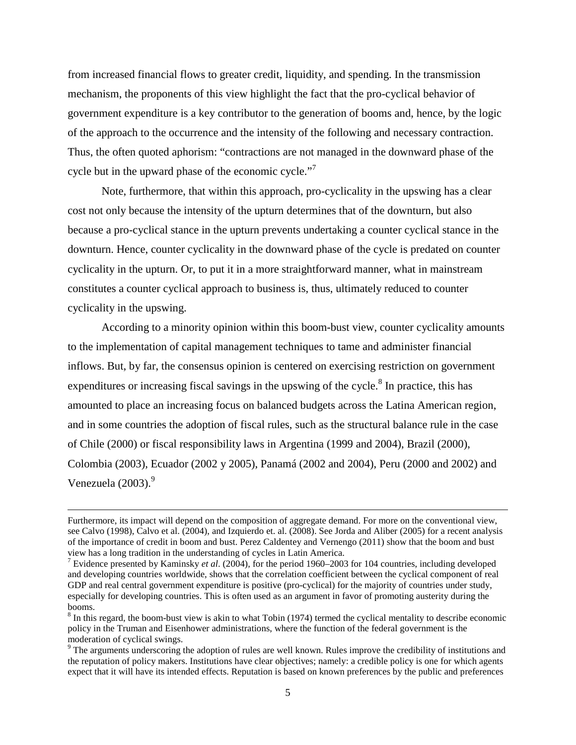from increased financial flows to greater credit, liquidity, and spending. In the transmission mechanism, the proponents of this view highlight the fact that the pro-cyclical behavior of government expenditure is a key contributor to the generation of booms and, hence, by the logic of the approach to the occurrence and the intensity of the following and necessary contraction. Thus, the often quoted aphorism: "contractions are not managed in the downward phase of the cycle but in the upward phase of the economic cycle."<sup>[7](#page-5-0)</sup>

Note, furthermore, that within this approach, pro-cyclicality in the upswing has a clear cost not only because the intensity of the upturn determines that of the downturn, but also because a pro-cyclical stance in the upturn prevents undertaking a counter cyclical stance in the downturn. Hence, counter cyclicality in the downward phase of the cycle is predated on counter cyclicality in the upturn. Or, to put it in a more straightforward manner, what in mainstream constitutes a counter cyclical approach to business is, thus, ultimately reduced to counter cyclicality in the upswing.

According to a minority opinion within this boom-bust view, counter cyclicality amounts to the implementation of capital management techniques to tame and administer financial inflows. But, by far, the consensus opinion is centered on exercising restriction on government expenditures or increasing fiscal savings in the upswing of the cycle.<sup>[8](#page-5-1)</sup> In practice, this has amounted to place an increasing focus on balanced budgets across the Latina American region, and in some countries the adoption of fiscal rules, such as the structural balance rule in the case of Chile (2000) or fiscal responsibility laws in Argentina (1999 and 2004), Brazil (2000), Colombia (2003), Ecuador (2002 y 2005), Panamá (2002 and 2004), Peru (2000 and 2002) and Venezuela  $(2003)$ .<sup>[9](#page-5-2)</sup>

Furthermore, its impact will depend on the composition of aggregate demand. For more on the conventional view, see Calvo (1998), Calvo et al. (2004), and Izquierdo et. al. (2008). See Jorda and Aliber (2005) for a recent analysis of the importance of credit in boom and bust. Perez Caldentey and Vernengo (2011) show that the boom and bust view has a long tradition in the understanding of cycles in Latin America.

<span id="page-5-0"></span><sup>7</sup> Evidence presented by Kaminsky *et al*. (2004), for the period 1960–2003 for 104 countries, including developed and developing countries worldwide, shows that the correlation coefficient between the cyclical component of real GDP and real central government expenditure is positive (pro-cyclical) for the majority of countries under study, especially for developing countries. This is often used as an argument in favor of promoting austerity during the booms.

<span id="page-5-1"></span> $8 \text{ In this regard, the boom-bust view is akin to what Tobin (1974) termed the cyclical mentally to describe economic$ policy in the Truman and Eisenhower administrations, where the function of the federal government is the moderation of cyclical swings.

<span id="page-5-2"></span> $9$  The arguments underscoring the adoption of rules are well known. Rules improve the credibility of institutions and the reputation of policy makers. Institutions have clear objectives; namely: a credible policy is one for which agents expect that it will have its intended effects. Reputation is based on known preferences by the public and preferences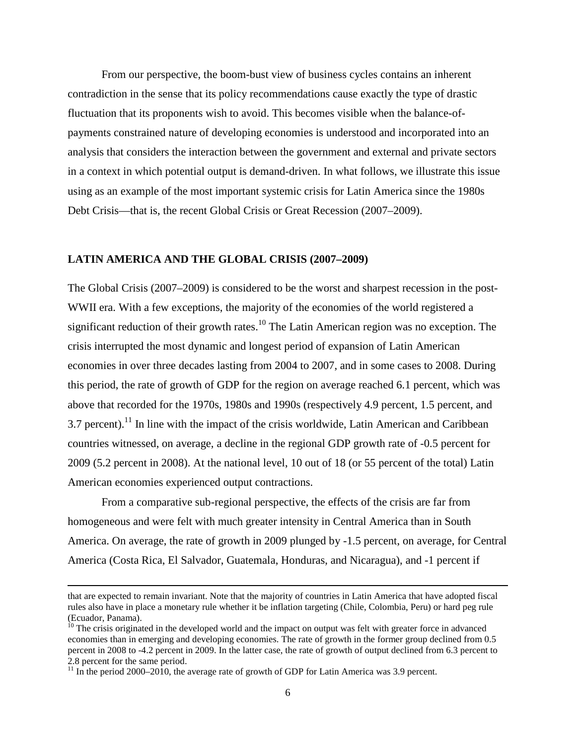From our perspective, the boom-bust view of business cycles contains an inherent contradiction in the sense that its policy recommendations cause exactly the type of drastic fluctuation that its proponents wish to avoid. This becomes visible when the balance-ofpayments constrained nature of developing economies is understood and incorporated into an analysis that considers the interaction between the government and external and private sectors in a context in which potential output is demand-driven. In what follows, we illustrate this issue using as an example of the most important systemic crisis for Latin America since the 1980s Debt Crisis—that is, the recent Global Crisis or Great Recession (2007–2009).

#### **LATIN AMERICA AND THE GLOBAL CRISIS (2007–2009)**

The Global Crisis (2007–2009) is considered to be the worst and sharpest recession in the post-WWII era. With a few exceptions, the majority of the economies of the world registered a significant reduction of their growth rates.<sup>[10](#page-6-0)</sup> The Latin American region was no exception. The crisis interrupted the most dynamic and longest period of expansion of Latin American economies in over three decades lasting from 2004 to 2007, and in some cases to 2008. During this period, the rate of growth of GDP for the region on average reached 6.1 percent, which was above that recorded for the 1970s, 1980s and 1990s (respectively 4.9 percent, 1.5 percent, and 3.7 percent).<sup>[11](#page-6-1)</sup> In line with the impact of the crisis worldwide, Latin American and Caribbean countries witnessed, on average, a decline in the regional GDP growth rate of -0.5 percent for 2009 (5.2 percent in 2008). At the national level, 10 out of 18 (or 55 percent of the total) Latin American economies experienced output contractions.

From a comparative sub-regional perspective, the effects of the crisis are far from homogeneous and were felt with much greater intensity in Central America than in South America. On average, the rate of growth in 2009 plunged by -1.5 percent, on average, for Central America (Costa Rica, El Salvador, Guatemala, Honduras, and Nicaragua), and -1 percent if

that are expected to remain invariant. Note that the majority of countries in Latin America that have adopted fiscal rules also have in place a monetary rule whether it be inflation targeting (Chile, Colombia, Peru) or hard peg rule (Ecuador, Panama).

<span id="page-6-0"></span> $10$  The crisis originated in the developed world and the impact on output was felt with greater force in advanced economies than in emerging and developing economies. The rate of growth in the former group declined from 0.5 percent in 2008 to -4.2 percent in 2009. In the latter case, the rate of growth of output declined from 6.3 percent to 2.8 percent for the same period.

<span id="page-6-1"></span> $11$  In the period 2000–2010, the average rate of growth of GDP for Latin America was 3.9 percent.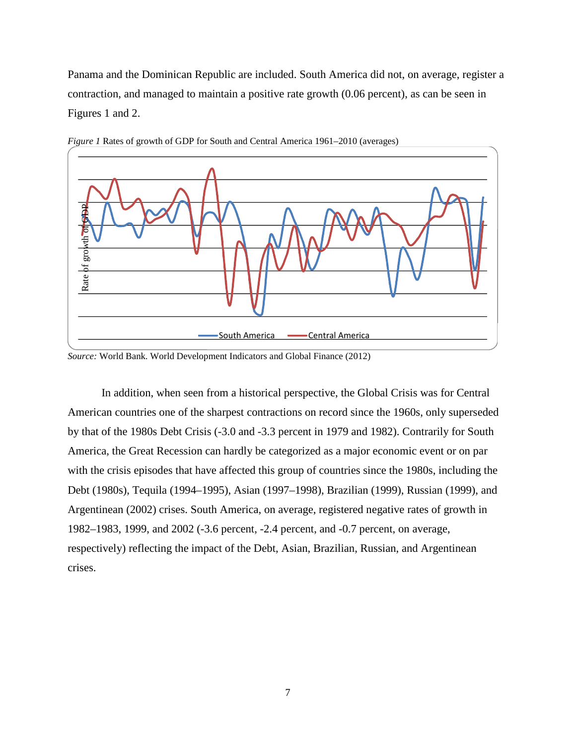Panama and the Dominican Republic are included. South America did not, on average, register a contraction, and managed to maintain a positive rate growth (0.06 percent), as can be seen in Figures 1 and 2.



*Figure 1* Rates of growth of GDP for South and Central America 1961–2010 (averages)

In addition, when seen from a historical perspective, the Global Crisis was for Central American countries one of the sharpest contractions on record since the 1960s, only superseded by that of the 1980s Debt Crisis (-3.0 and -3.3 percent in 1979 and 1982). Contrarily for South America, the Great Recession can hardly be categorized as a major economic event or on par with the crisis episodes that have affected this group of countries since the 1980s, including the Debt (1980s), Tequila (1994–1995), Asian (1997–1998), Brazilian (1999), Russian (1999), and Argentinean (2002) crises. South America, on average, registered negative rates of growth in 1982–1983, 1999, and 2002 (-3.6 percent, -2.4 percent, and -0.7 percent, on average, respectively) reflecting the impact of the Debt, Asian, Brazilian, Russian, and Argentinean crises.

*Source:* World Bank. World Development Indicators and Global Finance (2012)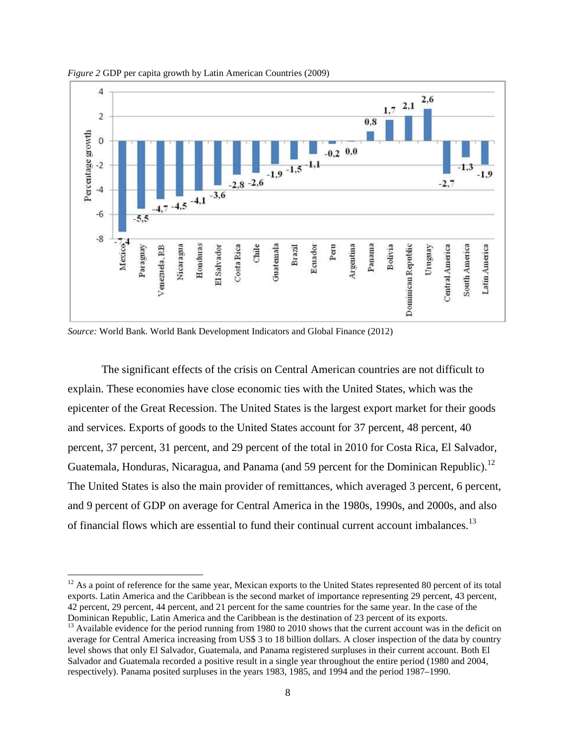

*Figure 2* GDP per capita growth by Latin American Countries (2009)

*Source:* World Bank. World Bank Development Indicators and Global Finance (2012)

The significant effects of the crisis on Central American countries are not difficult to explain. These economies have close economic ties with the United States, which was the epicenter of the Great Recession. The United States is the largest export market for their goods and services. Exports of goods to the United States account for 37 percent, 48 percent, 40 percent, 37 percent, 31 percent, and 29 percent of the total in 2010 for Costa Rica, El Salvador, Guatemala, Honduras, Nicaragua, and Panama (and 59 percent for the Dominican Republic).<sup>[12](#page-8-0)</sup> The United States is also the main provider of remittances, which averaged 3 percent, 6 percent, and 9 percent of GDP on average for Central America in the 1980s, 1990s, and 2000s, and also of financial flows which are essential to fund their continual current account imbalances.<sup>[13](#page-8-1)</sup>

<span id="page-8-0"></span> $12$  As a point of reference for the same year, Mexican exports to the United States represented 80 percent of its total exports. Latin America and the Caribbean is the second market of importance representing 29 percent, 43 percent, 42 percent, 29 percent, 44 percent, and 21 percent for the same countries for the same year. In the case of the Dominican Republic, Latin America and the Caribbean is the destination of 23 percent of its exports.

<span id="page-8-1"></span><sup>&</sup>lt;sup>13</sup> Available evidence for the period running from 1980 to 2010 shows that the current account was in the deficit on average for Central America increasing from US\$ 3 to 18 billion dollars. A closer inspection of the data by country level shows that only El Salvador, Guatemala, and Panama registered surpluses in their current account. Both El Salvador and Guatemala recorded a positive result in a single year throughout the entire period (1980 and 2004, respectively). Panama posited surpluses in the years 1983, 1985, and 1994 and the period 1987–1990.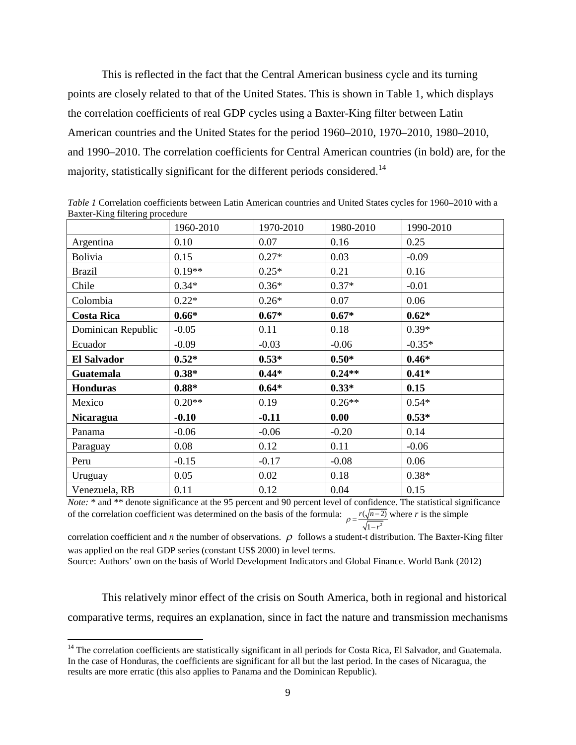This is reflected in the fact that the Central American business cycle and its turning points are closely related to that of the United States. This is shown in Table 1, which displays the correlation coefficients of real GDP cycles using a Baxter-King filter between Latin American countries and the United States for the period 1960–2010, 1970–2010, 1980–2010, and 1990–2010. The correlation coefficients for Central American countries (in bold) are, for the majority, statistically significant for the different periods considered.<sup>[14](#page-9-0)</sup>

| 01                 |              |           |           |           |
|--------------------|--------------|-----------|-----------|-----------|
|                    | 1960-2010    | 1970-2010 | 1980-2010 | 1990-2010 |
| Argentina          | 0.10<br>0.07 |           | 0.16      | 0.25      |
| <b>Bolivia</b>     | 0.15         | $0.27*$   | 0.03      | $-0.09$   |
| <b>Brazil</b>      | $0.19**$     | $0.25*$   | 0.21      | 0.16      |
| Chile              | $0.34*$      | $0.36*$   | $0.37*$   | $-0.01$   |
| Colombia           | $0.22*$      | $0.26*$   | 0.07      | 0.06      |
| <b>Costa Rica</b>  | $0.66*$      | $0.67*$   | $0.67*$   | $0.62*$   |
| Dominican Republic | $-0.05$      | 0.11      | 0.18      | $0.39*$   |
| Ecuador            | $-0.09$      | $-0.03$   | $-0.06$   | $-0.35*$  |
| <b>El Salvador</b> | $0.52*$      | $0.53*$   | $0.50*$   | $0.46*$   |
| <b>Guatemala</b>   | $0.38*$      | $0.44*$   | $0.24**$  | $0.41*$   |
| <b>Honduras</b>    | $0.88*$      | $0.64*$   | $0.33*$   | 0.15      |
| Mexico             | $0.20**$     | 0.19      | $0.26**$  | $0.54*$   |
| <b>Nicaragua</b>   | $-0.10$      | $-0.11$   | 0.00      | $0.53*$   |
| Panama             | $-0.06$      | $-0.06$   | $-0.20$   | 0.14      |
| Paraguay           | 0.08         | 0.12      | 0.11      | $-0.06$   |
| Peru               | $-0.15$      | $-0.17$   | $-0.08$   | 0.06      |
| Uruguay            | 0.05         | 0.02      | 0.18      | $0.38*$   |
| Venezuela, RB      | 0.11         | 0.12      | 0.04      | 0.15      |

*Table 1* Correlation coefficients between Latin American countries and United States cycles for 1960–2010 with a Baxter-King filtering procedure

*Note:* \* and \*\* denote significance at the 95 percent and 90 percent level of confidence. The statistical significance of the correlation coefficient was determined on the basis of the formula: 2  $(\sqrt{n-2})$  wh 1  $r(\sqrt{n-2})$  $\rho = \frac{r(\sqrt{n-1})}{\sqrt{1-r}}$ where *r* is the simple

correlation coefficient and *n* the number of observations.  $\rho$  follows a student-t distribution. The Baxter-King filter was applied on the real GDP series (constant US\$ 2000) in level terms.

Source: Authors' own on the basis of World Development Indicators and Global Finance. World Bank (2012)

This relatively minor effect of the crisis on South America, both in regional and historical comparative terms, requires an explanation, since in fact the nature and transmission mechanisms

<span id="page-9-0"></span> $<sup>14</sup>$  The correlation coefficients are statistically significant in all periods for Costa Rica, El Salvador, and Guatemala.</sup> In the case of Honduras, the coefficients are significant for all but the last period. In the cases of Nicaragua, the results are more erratic (this also applies to Panama and the Dominican Republic).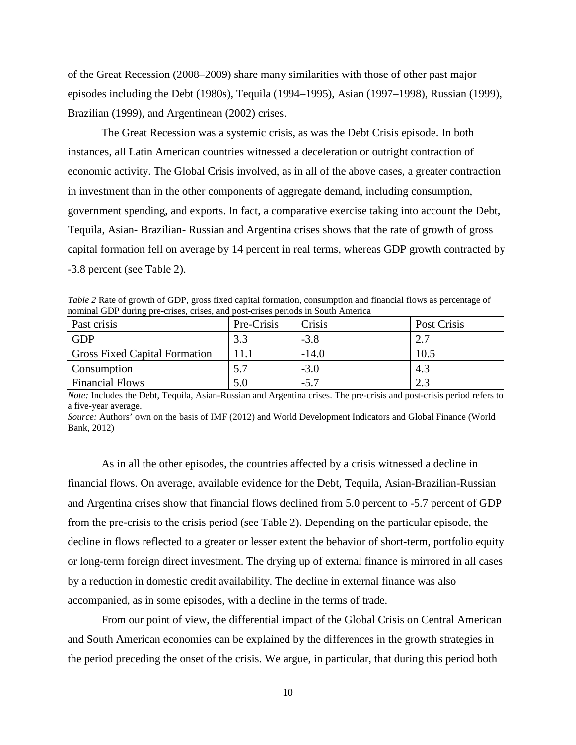of the Great Recession (2008–2009) share many similarities with those of other past major episodes including the Debt (1980s), Tequila (1994–1995), Asian (1997–1998), Russian (1999), Brazilian (1999), and Argentinean (2002) crises.

The Great Recession was a systemic crisis, as was the Debt Crisis episode. In both instances, all Latin American countries witnessed a deceleration or outright contraction of economic activity. The Global Crisis involved, as in all of the above cases, a greater contraction in investment than in the other components of aggregate demand, including consumption, government spending, and exports. In fact, a comparative exercise taking into account the Debt, Tequila, Asian- Brazilian- Russian and Argentina crises shows that the rate of growth of gross capital formation fell on average by 14 percent in real terms, whereas GDP growth contracted by -3.8 percent (see Table 2).

*Table 2* Rate of growth of GDP, gross fixed capital formation, consumption and financial flows as percentage of nominal GDP during pre-crises, crises, and post-crises periods in South America

| Past crisis                          | Pre-Crisis | Crisis  | Post Crisis |
|--------------------------------------|------------|---------|-------------|
| <b>GDP</b>                           |            | $-3.8$  |             |
| <b>Gross Fixed Capital Formation</b> |            | $-14.0$ | 10.5        |
| <b>Consumption</b>                   |            | $-3.0$  | 4.3         |
| <b>Financial Flows</b>               |            | $-5.7$  |             |

*Note:* Includes the Debt, Tequila, Asian-Russian and Argentina crises. The pre-crisis and post-crisis period refers to a five-year average.

*Source:* Authors' own on the basis of IMF (2012) and World Development Indicators and Global Finance (World Bank, 2012)

As in all the other episodes, the countries affected by a crisis witnessed a decline in financial flows. On average, available evidence for the Debt, Tequila, Asian-Brazilian-Russian and Argentina crises show that financial flows declined from 5.0 percent to -5.7 percent of GDP from the pre-crisis to the crisis period (see Table 2). Depending on the particular episode, the decline in flows reflected to a greater or lesser extent the behavior of short-term, portfolio equity or long-term foreign direct investment. The drying up of external finance is mirrored in all cases by a reduction in domestic credit availability. The decline in external finance was also accompanied, as in some episodes, with a decline in the terms of trade.

From our point of view, the differential impact of the Global Crisis on Central American and South American economies can be explained by the differences in the growth strategies in the period preceding the onset of the crisis. We argue, in particular, that during this period both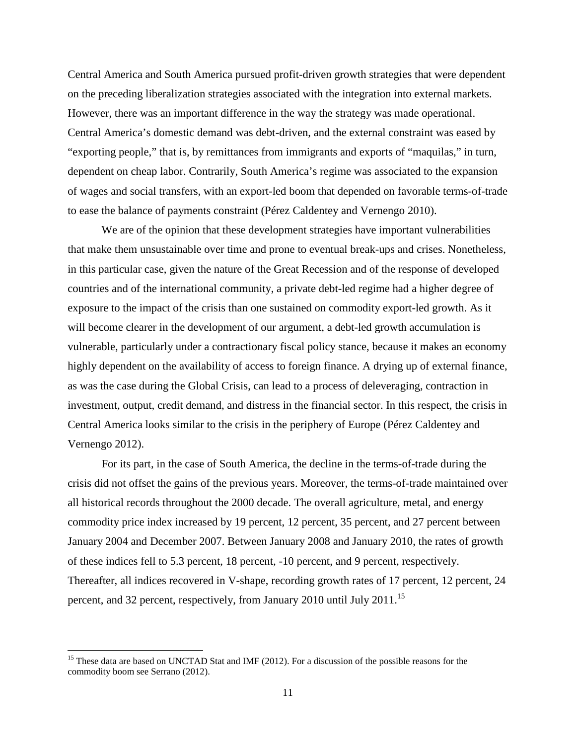Central America and South America pursued profit-driven growth strategies that were dependent on the preceding liberalization strategies associated with the integration into external markets. However, there was an important difference in the way the strategy was made operational. Central America's domestic demand was debt-driven, and the external constraint was eased by "exporting people," that is, by remittances from immigrants and exports of "maquilas," in turn, dependent on cheap labor. Contrarily, South America's regime was associated to the expansion of wages and social transfers, with an export-led boom that depended on favorable terms-of-trade to ease the balance of payments constraint (Pérez Caldentey and Vernengo 2010).

We are of the opinion that these development strategies have important vulnerabilities that make them unsustainable over time and prone to eventual break-ups and crises. Nonetheless, in this particular case, given the nature of the Great Recession and of the response of developed countries and of the international community, a private debt-led regime had a higher degree of exposure to the impact of the crisis than one sustained on commodity export-led growth. As it will become clearer in the development of our argument, a debt-led growth accumulation is vulnerable, particularly under a contractionary fiscal policy stance, because it makes an economy highly dependent on the availability of access to foreign finance. A drying up of external finance, as was the case during the Global Crisis, can lead to a process of deleveraging, contraction in investment, output, credit demand, and distress in the financial sector. In this respect, the crisis in Central America looks similar to the crisis in the periphery of Europe (Pérez Caldentey and Vernengo 2012).

For its part, in the case of South America, the decline in the terms-of-trade during the crisis did not offset the gains of the previous years. Moreover, the terms-of-trade maintained over all historical records throughout the 2000 decade. The overall agriculture, metal, and energy commodity price index increased by 19 percent, 12 percent, 35 percent, and 27 percent between January 2004 and December 2007. Between January 2008 and January 2010, the rates of growth of these indices fell to 5.3 percent, 18 percent, -10 percent, and 9 percent, respectively. Thereafter, all indices recovered in V-shape, recording growth rates of 17 percent, 12 percent, 24 percent, and 32 percent, respectively, from January 2010 until July 2011.[15](#page-11-0)

<span id="page-11-0"></span><sup>&</sup>lt;sup>15</sup> These data are based on UNCTAD Stat and IMF (2012). For a discussion of the possible reasons for the commodity boom see Serrano (2012).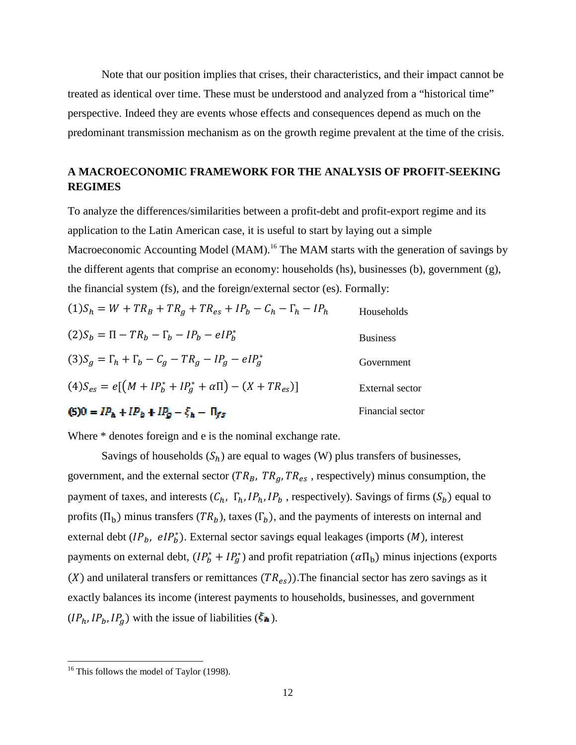Note that our position implies that crises, their characteristics, and their impact cannot be treated as identical over time. These must be understood and analyzed from a "historical time" perspective. Indeed they are events whose effects and consequences depend as much on the predominant transmission mechanism as on the growth regime prevalent at the time of the crisis.

## **A MACROECONOMIC FRAMEWORK FOR THE ANALYSIS OF PROFIT-SEEKING REGIMES**

To analyze the differences/similarities between a profit-debt and profit-export regime and its application to the Latin American case, it is useful to start by laying out a simple Macroeconomic Accounting Model (MAM).<sup>[16](#page-12-0)</sup> The MAM starts with the generation of savings by the different agents that comprise an economy: households (hs), businesses (b), government (g), the financial system (fs), and the foreign/external sector (es). Formally:

| $I(5)0 = IP_1 + IP_2 + IP_3 - \xi_4 - \Pi_{ss}$                     | Financial sector |
|---------------------------------------------------------------------|------------------|
| $(4)S_{es} = e[(M + IP_b^* + IP_a^* + \alpha \Pi) - (X + TR_{es})]$ | External sector  |
| $(3)S_a = \Gamma_h + \Gamma_h - C_a - TR_a - IP_a - eIP_a^*$        | Government       |
| $(2)S_h = \Pi - TR_h - \Gamma_h - IP_h - eIP_h^*$                   | <b>Business</b>  |
| $(1)S_h = W + TR_B + TR_a + TR_{es} + IP_h - C_h - \Gamma_h - IP_h$ | Households       |

### $I(B)0 = IP_h + IP_b + IP_g - \xi_h - \Pi_{fs}$

Where \* denotes foreign and e is the nominal exchange rate.

Savings of households  $(S_h)$  are equal to wages (W) plus transfers of businesses, government, and the external sector ( $TR_B$ ,  $TR_g$ ,  $TR_{es}$ , respectively) minus consumption, the payment of taxes, and interests  $(C_h, \Gamma_h, IP_h, IP_b$ , respectively). Savings of firms  $(S_b)$  equal to profits  $(\Pi_b)$  minus transfers  $(TR_b)$ , taxes  $(\Gamma_b)$ , and the payments of interests on internal and external debt  $(IP_b, elP_b^*)$ . External sector savings equal leakages (imports  $(M)$ , interest payments on external debt,  $(I P_b^* + I P_d^*)$  and profit repatriation  $(\alpha \Pi_b)$  minus injections (exports ( $X$ ) and unilateral transfers or remittances ( $TR_{es}$ )). The financial sector has zero savings as it exactly balances its income (interest payments to households, businesses, and government  $(IP_h, IP_b, IP_g)$  with the issue of liabilities ( $\xi_{\text{A}}$ ).

<span id="page-12-0"></span><sup>&</sup>lt;sup>16</sup> This follows the model of Taylor (1998).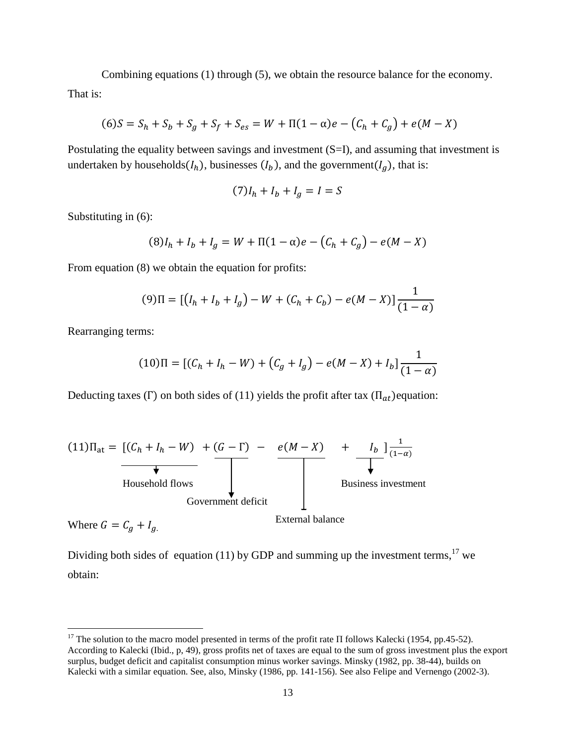Combining equations (1) through (5), we obtain the resource balance for the economy. That is:

$$
(6)S = S_h + S_b + S_g + S_f + S_{es} = W + \Pi(1 - \alpha)e - (C_h + C_g) + e(M - X)
$$

Postulating the equality between savings and investment (S=I), and assuming that investment is undertaken by households $(I_h)$ , businesses  $(I_b)$ , and the government $(I_g)$ , that is:

$$
(7)I_h + I_b + I_g = I = S
$$

Substituting in (6):

$$
(8)Ih + Ib + Ig = W + \Pi(1 - \alpha)e - (Ch + Cg) - e(M - X)
$$

From equation  $(8)$  we obtain the equation for profits:

$$
(9)\Pi = \left[ (I_h + I_b + I_g) - W + (C_h + C_b) - e(M - X) \right] \frac{1}{(1 - \alpha)}
$$

Rearranging terms:

$$
(10)\Pi = [(C_h + I_h - W) + (C_g + I_g) - e(M - X) + I_b]\frac{1}{(1 - \alpha)}
$$

Deducting taxes (Γ) on both sides of (11) yields the profit after tax  $(\Pi_{at})$ equation:



Where  $G = C_g + I_g$ .

Dividing both sides of equation (11) by GDP and summing up the investment terms,<sup>[17](#page-13-0)</sup> we obtain:

<span id="page-13-0"></span><sup>&</sup>lt;sup>17</sup> The solution to the macro model presented in terms of the profit rate Π follows Kalecki (1954, pp.45-52). According to Kalecki (Ibid., p, 49), gross profits net of taxes are equal to the sum of gross investment plus the export surplus, budget deficit and capitalist consumption minus worker savings. Minsky (1982, pp. 38-44), builds on Kalecki with a similar equation. See, also, Minsky (1986, pp. 141-156). See also Felipe and Vernengo (2002-3).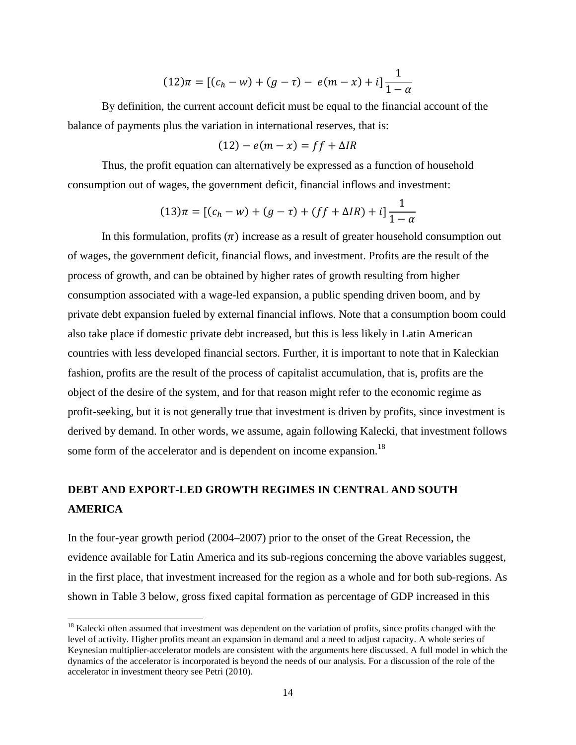$$
(12)\pi = [(c_h - w) + (g - \tau) - e(m - x) + i]\frac{1}{1 - \alpha}
$$

By definition, the current account deficit must be equal to the financial account of the balance of payments plus the variation in international reserves, that is:

$$
(12) - e(m - x) = ff + \Delta IR
$$

Thus, the profit equation can alternatively be expressed as a function of household consumption out of wages, the government deficit, financial inflows and investment:

$$
(13)\pi = [(c_h - w) + (g - \tau) + (ff + \Delta IR) + i]\frac{1}{1 - \alpha}
$$

In this formulation, profits  $(\pi)$  increase as a result of greater household consumption out of wages, the government deficit, financial flows, and investment. Profits are the result of the process of growth, and can be obtained by higher rates of growth resulting from higher consumption associated with a wage-led expansion, a public spending driven boom, and by private debt expansion fueled by external financial inflows. Note that a consumption boom could also take place if domestic private debt increased, but this is less likely in Latin American countries with less developed financial sectors. Further, it is important to note that in Kaleckian fashion, profits are the result of the process of capitalist accumulation, that is, profits are the object of the desire of the system, and for that reason might refer to the economic regime as profit-seeking, but it is not generally true that investment is driven by profits, since investment is derived by demand. In other words, we assume, again following Kalecki, that investment follows some form of the accelerator and is dependent on income expansion.<sup>[18](#page-14-0)</sup>

# **DEBT AND EXPORT-LED GROWTH REGIMES IN CENTRAL AND SOUTH AMERICA**

In the four-year growth period (2004–2007) prior to the onset of the Great Recession, the evidence available for Latin America and its sub-regions concerning the above variables suggest, in the first place, that investment increased for the region as a whole and for both sub-regions. As shown in Table 3 below, gross fixed capital formation as percentage of GDP increased in this

<span id="page-14-0"></span><sup>&</sup>lt;sup>18</sup> Kalecki often assumed that investment was dependent on the variation of profits, since profits changed with the level of activity. Higher profits meant an expansion in demand and a need to adjust capacity. A whole series of Keynesian multiplier-accelerator models are consistent with the arguments here discussed. A full model in which the dynamics of the accelerator is incorporated is beyond the needs of our analysis. For a discussion of the role of the accelerator in investment theory see Petri (2010).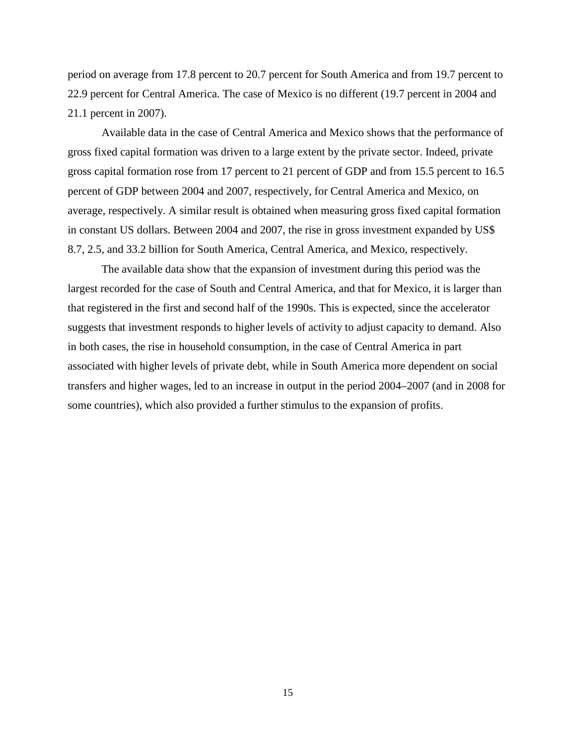period on average from 17.8 percent to 20.7 percent for South America and from 19.7 percent to 22.9 percent for Central America. The case of Mexico is no different (19.7 percent in 2004 and 21.1 percent in 2007).

Available data in the case of Central America and Mexico shows that the performance of gross fixed capital formation was driven to a large extent by the private sector. Indeed, private gross capital formation rose from 17 percent to 21 percent of GDP and from 15.5 percent to 16.5 percent of GDP between 2004 and 2007, respectively, for Central America and Mexico, on average, respectively. A similar result is obtained when measuring gross fixed capital formation in constant US dollars. Between 2004 and 2007, the rise in gross investment expanded by US\$ 8.7, 2.5, and 33.2 billion for South America, Central America, and Mexico, respectively.

The available data show that the expansion of investment during this period was the largest recorded for the case of South and Central America, and that for Mexico, it is larger than that registered in the first and second half of the 1990s. This is expected, since the accelerator suggests that investment responds to higher levels of activity to adjust capacity to demand. Also in both cases, the rise in household consumption, in the case of Central America in part associated with higher levels of private debt, while in South America more dependent on social transfers and higher wages, led to an increase in output in the period 2004–2007 (and in 2008 for some countries), which also provided a further stimulus to the expansion of profits.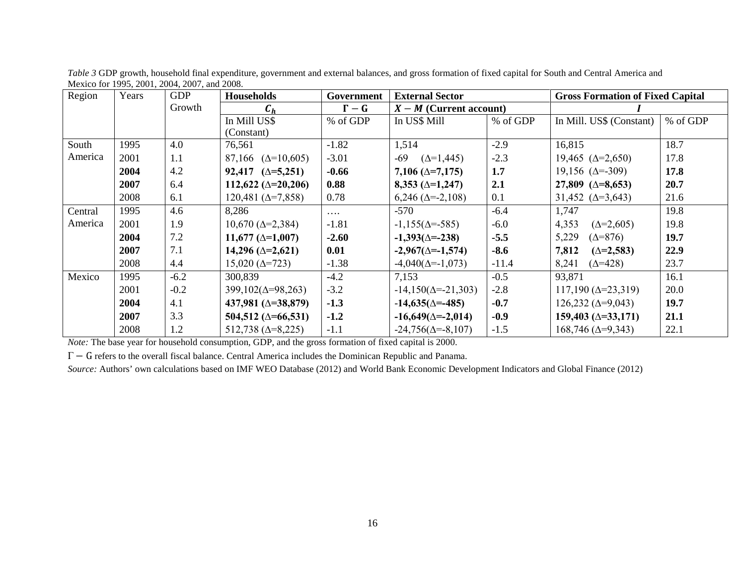| Region  | Years | <b>GDP</b> | <b>Households</b>              | Government | <b>External Sector</b>       |          | <b>Gross Formation of Fixed Capital</b> |          |
|---------|-------|------------|--------------------------------|------------|------------------------------|----------|-----------------------------------------|----------|
|         |       | Growth     | $c_{\tiny \it n}$              | $\Gamma-G$ | $X - M$ (Current account)    |          |                                         |          |
|         |       |            | In Mill US\$                   | % of GDP   | In US\$ Mill                 | % of GDP | In Mill. US\$ (Constant)                | % of GDP |
|         |       |            | (Constant)                     |            |                              |          |                                         |          |
| South   | 1995  | 4.0        | 76,561                         | $-1.82$    | 1,514                        | $-2.9$   | 16,815                                  | 18.7     |
| America | 2001  | 1.1        | 87,166 $(\Delta=10,605)$       | $-3.01$    | $-69$<br>$(\Delta = 1, 445)$ | $-2.3$   | 19,465 $(\Delta = 2,650)$               | 17.8     |
|         | 2004  | 4.2        | $92,417 \ (\triangle = 5,251)$ | $-0.66$    | $7,106 \; (\Delta = 7,175)$  | 1.7      | $19,156 \ (\Delta = -309)$              | 17.8     |
|         | 2007  | 6.4        | 112,622 ( $\Delta$ =20,206)    | 0.88       | $8,353 (\triangle = 1,247)$  | 2.1      | 27,809 $(\Delta = 8, 653)$              | 20.7     |
|         | 2008  | 6.1        | $120,481 (\Delta = 7,858)$     | 0.78       | $6,246 \ (\Delta = -2,108)$  | 0.1      | 31,452 $(\Delta = 3,643)$               | 21.6     |
| Central | 1995  | 4.6        | 8,286                          | $\cdots$   | $-570$                       | $-6.4$   | 1,747                                   | 19.8     |
| America | 2001  | 1.9        | $10,670 \; (\Delta = 2,384)$   | $-1.81$    | $-1,155(\Delta = -585)$      | $-6.0$   | $(\Delta = 2, 605)$<br>4,353            | 19.8     |
|         | 2004  | 7.2        | $11,677 (\triangle = 1,007)$   | $-2.60$    | $-1,393(\Delta = -238)$      | $-5.5$   | 5,229<br>$(\Delta = 876)$               | 19.7     |
|         | 2007  | 7.1        | $14,296 (\triangle = 2,621)$   | 0.01       | $-2,967(\Delta=-1,574)$      | $-8.6$   | 7,812<br>$(\Delta = 2, 583)$            | 22.9     |
|         | 2008  | 4.4        | $15,020 \; (\Delta = 723)$     | $-1.38$    | $-4,040(\Delta = -1,073)$    | $-11.4$  | 8,241<br>$(\Delta = 428)$               | 23.7     |
| Mexico  | 1995  | $-6.2$     | 300,839                        | $-4.2$     | 7,153                        | $-0.5$   | 93,871                                  | 16.1     |
|         | 2001  | $-0.2$     | $399,102(\Delta=98,263)$       | $-3.2$     | $-14,150(\Delta = -21,303)$  | $-2.8$   | $117,190 \ (\Delta = 23,319)$           | 20.0     |
|         | 2004  | 4.1        | 437,981 ( $\triangle$ =38,879) | $-1.3$     | $-14,635(\Delta = -485)$     | $-0.7$   | $126,232 \ (\Delta=9,043)$              | 19.7     |
|         | 2007  | 3.3        | 504,512 ( $\Delta$ =66,531)    | $-1.2$     | $-16,649(\Delta = -2,014)$   | $-0.9$   | $159,403 \; (\Delta = 33,171)$          | 21.1     |
|         | 2008  | 1.2        | $512,738 \; (\Delta=8,225)$    | $-1.1$     | $-24,756(\Delta = -8,107)$   | $-1.5$   | $168,746 \, (\Delta=9,343)$             | 22.1     |

*Table 3* GDP growth, household final expenditure, government and external balances, and gross formation of fixed capital for South and Central America and Mexico for 1995, 2001, 2004, 2007, and 2008.

*Note:* The base year for household consumption, GDP, and the gross formation of fixed capital is 2000.

Γ − G refers to the overall fiscal balance. Central America includes the Dominican Republic and Panama.

*Source:* Authors' own calculations based on IMF WEO Database (2012) and World Bank Economic Development Indicators and Global Finance (2012)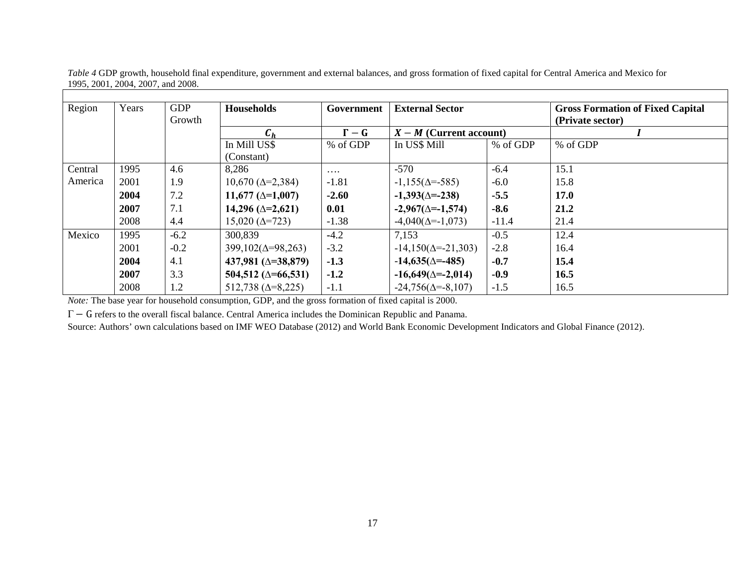| Region  | Years | <b>GDP</b><br>Growth | <b>Households</b>              | Government | <b>External Sector</b><br>$X - M$ (Current account) |          | <b>Gross Formation of Fixed Capital</b><br>(Private sector) |
|---------|-------|----------------------|--------------------------------|------------|-----------------------------------------------------|----------|-------------------------------------------------------------|
|         |       |                      | $C_h$                          | $\Gamma-G$ |                                                     |          |                                                             |
|         |       |                      | In Mill US\$                   | % of GDP   | In US\$ Mill                                        | % of GDP | % of GDP                                                    |
|         |       |                      | (Constant)                     |            |                                                     |          |                                                             |
| Central | 1995  | 4.6                  | 8,286                          | $\cdots$   | $-570$                                              | $-6.4$   | 15.1                                                        |
| America | 2001  | 1.9                  | $10,670 \; (\Delta = 2,384)$   | $-1.81$    | $-1,155(\Delta = -585)$                             | $-6.0$   | 15.8                                                        |
|         | 2004  | 7.2                  | 11,677 $(\Delta=1,007)$        | $-2.60$    | $-1,393(\Delta = -238)$                             | $-5.5$   | <b>17.0</b>                                                 |
|         | 2007  | 7.1                  | $14,296 (\triangle = 2,621)$   | 0.01       | $-2,967(\Delta=-1,574)$                             | $-8.6$   | 21.2                                                        |
|         | 2008  | 4.4                  | $15,020 \; (\Delta = 723)$     | $-1.38$    | $-4,040(\Delta = -1,073)$                           | $-11.4$  | 21.4                                                        |
| Mexico  | 1995  | $-6.2$               | 300,839                        | $-4.2$     | 7,153                                               | $-0.5$   | 12.4                                                        |
|         | 2001  | $-0.2$               | $399,102(\Delta=98,263)$       | $-3.2$     | $-14,150(\Delta = -21,303)$                         | $-2.8$   | 16.4                                                        |
|         | 2004  | 4.1                  | 437,981 ( $\triangle$ =38,879) | $-1.3$     | $-14,635(\Delta = -485)$                            | $-0.7$   | 15.4                                                        |
|         | 2007  | 3.3                  | 504,512 ( $\Delta$ =66,531)    | $-1.2$     | $-16,649(\Delta = -2,014)$                          | $-0.9$   | 16.5                                                        |
|         | 2008  | 1.2                  | $512,738 \; (\Delta=8,225)$    | $-1.1$     | $-24,756(\Delta = -8,107)$                          | $-1.5$   | 16.5                                                        |

*Table 4* GDP growth, household final expenditure, government and external balances, and gross formation of fixed capital for Central America and Mexico for 1995, 2001, 2004, 2007, and 2008.

*Note:* The base year for household consumption, GDP, and the gross formation of fixed capital is 2000.

Γ − G refers to the overall fiscal balance. Central America includes the Dominican Republic and Panama.

Source: Authors' own calculations based on IMF WEO Database (2012) and World Bank Economic Development Indicators and Global Finance (2012).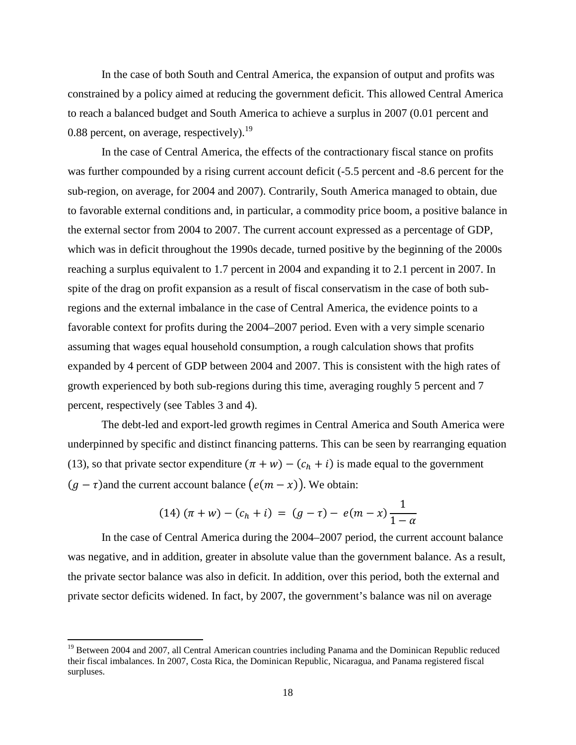In the case of both South and Central America, the expansion of output and profits was constrained by a policy aimed at reducing the government deficit. This allowed Central America to reach a balanced budget and South America to achieve a surplus in 2007 (0.01 percent and 0.88 percent, on average, respectively).<sup>[19](#page-18-0)</sup>

In the case of Central America, the effects of the contractionary fiscal stance on profits was further compounded by a rising current account deficit (-5.5 percent and -8.6 percent for the sub-region, on average, for 2004 and 2007). Contrarily, South America managed to obtain, due to favorable external conditions and, in particular, a commodity price boom, a positive balance in the external sector from 2004 to 2007. The current account expressed as a percentage of GDP, which was in deficit throughout the 1990s decade, turned positive by the beginning of the 2000s reaching a surplus equivalent to 1.7 percent in 2004 and expanding it to 2.1 percent in 2007. In spite of the drag on profit expansion as a result of fiscal conservatism in the case of both subregions and the external imbalance in the case of Central America, the evidence points to a favorable context for profits during the 2004–2007 period. Even with a very simple scenario assuming that wages equal household consumption, a rough calculation shows that profits expanded by 4 percent of GDP between 2004 and 2007. This is consistent with the high rates of growth experienced by both sub-regions during this time, averaging roughly 5 percent and 7 percent, respectively (see Tables 3 and 4).

The debt-led and export-led growth regimes in Central America and South America were underpinned by specific and distinct financing patterns. This can be seen by rearranging equation (13), so that private sector expenditure  $(\pi + w) - (c_h + i)$  is made equal to the government  $(g - \tau)$ and the current account balance  $(e(m - x))$ . We obtain:

$$
(14) (\pi + w) - (c_h + i) = (g - \tau) - e(m - x) \frac{1}{1 - \alpha}
$$

In the case of Central America during the 2004–2007 period, the current account balance was negative, and in addition, greater in absolute value than the government balance. As a result, the private sector balance was also in deficit. In addition, over this period, both the external and private sector deficits widened. In fact, by 2007, the government's balance was nil on average

<span id="page-18-0"></span><sup>&</sup>lt;sup>19</sup> Between 2004 and 2007, all Central American countries including Panama and the Dominican Republic reduced their fiscal imbalances. In 2007, Costa Rica, the Dominican Republic, Nicaragua, and Panama registered fiscal surpluses.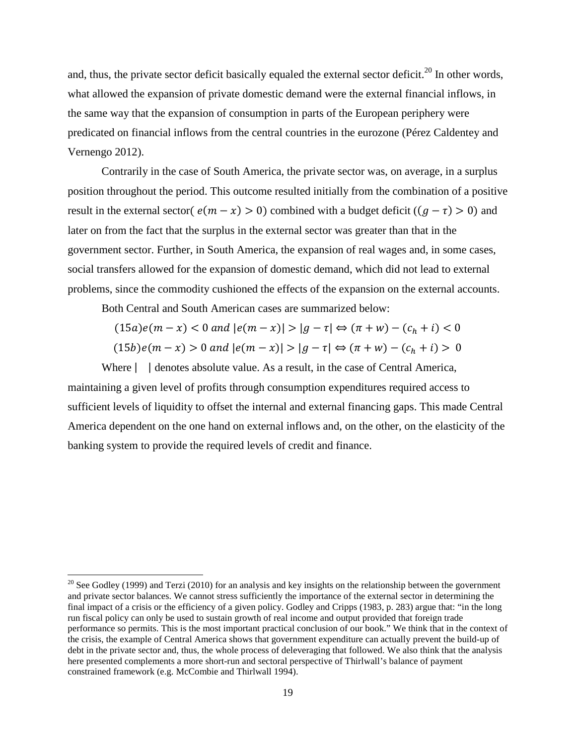and, thus, the private sector deficit basically equaled the external sector deficit.<sup>[20](#page-19-0)</sup> In other words, what allowed the expansion of private domestic demand were the external financial inflows, in the same way that the expansion of consumption in parts of the European periphery were predicated on financial inflows from the central countries in the eurozone (Pérez Caldentey and Vernengo 2012).

Contrarily in the case of South America, the private sector was, on average, in a surplus position throughout the period. This outcome resulted initially from the combination of a positive result in the external sector( $e(m - x) > 0$ ) combined with a budget deficit ( $(g - \tau) > 0$ ) and later on from the fact that the surplus in the external sector was greater than that in the government sector. Further, in South America, the expansion of real wages and, in some cases, social transfers allowed for the expansion of domestic demand, which did not lead to external problems, since the commodity cushioned the effects of the expansion on the external accounts.

Both Central and South American cases are summarized below:

$$
(15a)e(m - x) < 0 \text{ and } |e(m - x)| > |g - \tau| \Leftrightarrow (\pi + w) - (c_h + i) < 0
$$

$$
(15b)e(m - x) > 0 \text{ and } |e(m - x)| > |g - \tau| \Leftrightarrow (\pi + w) - (c_h + i) > 0
$$

Where  $\vert$  denotes absolute value. As a result, in the case of Central America, maintaining a given level of profits through consumption expenditures required access to sufficient levels of liquidity to offset the internal and external financing gaps. This made Central America dependent on the one hand on external inflows and, on the other, on the elasticity of the banking system to provide the required levels of credit and finance.

<span id="page-19-0"></span><sup>&</sup>lt;sup>20</sup> See Godley (1999) and Terzi (2010) for an analysis and key insights on the relationship between the government and private sector balances. We cannot stress sufficiently the importance of the external sector in determining the final impact of a crisis or the efficiency of a given policy. Godley and Cripps (1983, p. 283) argue that: "in the long run fiscal policy can only be used to sustain growth of real income and output provided that foreign trade performance so permits. This is the most important practical conclusion of our book." We think that in the context of the crisis, the example of Central America shows that government expenditure can actually prevent the build-up of debt in the private sector and, thus, the whole process of deleveraging that followed. We also think that the analysis here presented complements a more short-run and sectoral perspective of Thirlwall's balance of payment constrained framework (e.g. McCombie and Thirlwall 1994).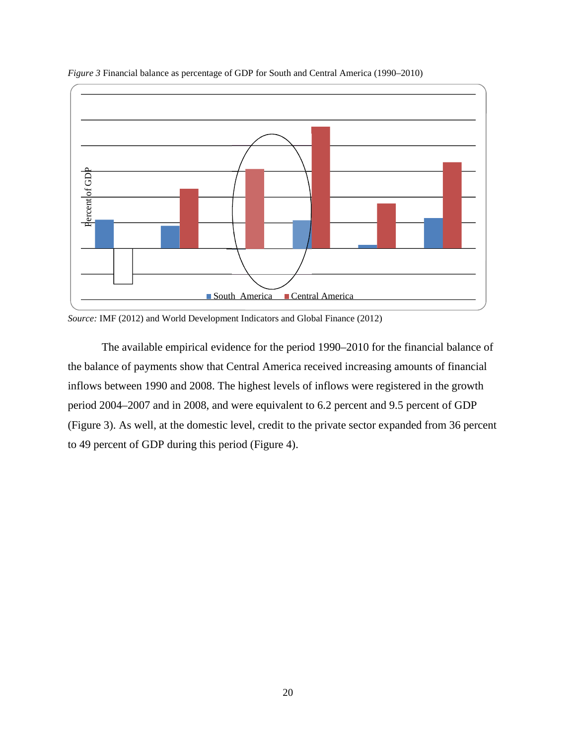

*Figure 3* Financial balance as percentage of GDP for South and Central America (1990–2010)

*Source:* IMF (2012) and World Development Indicators and Global Finance (2012)

The available empirical evidence for the period 1990–2010 for the financial balance of the balance of payments show that Central America received increasing amounts of financial inflows between 1990 and 2008. The highest levels of inflows were registered in the growth period 2004–2007 and in 2008, and were equivalent to 6.2 percent and 9.5 percent of GDP (Figure 3). As well, at the domestic level, credit to the private sector expanded from 36 percent to 49 percent of GDP during this period (Figure 4).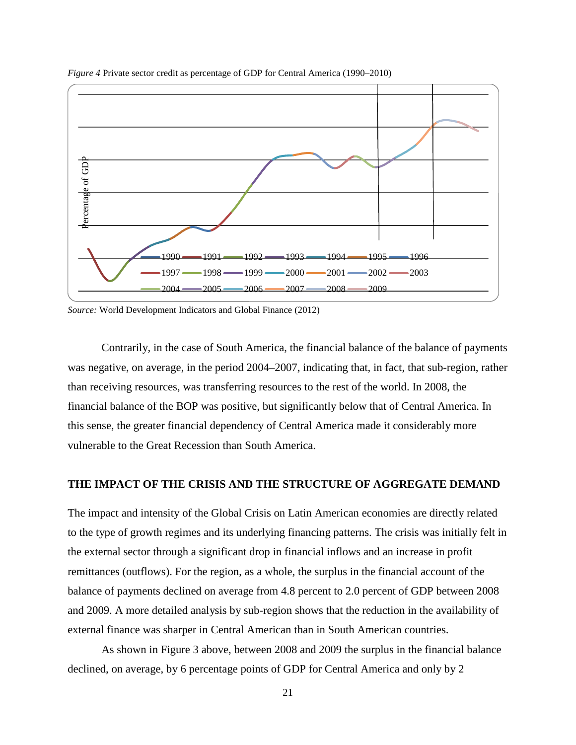

*Figure 4* Private sector credit as percentage of GDP for Central America (1990–2010)

*Source:* World Development Indicators and Global Finance (2012)

Contrarily, in the case of South America, the financial balance of the balance of payments was negative, on average, in the period 2004–2007, indicating that, in fact, that sub-region, rather than receiving resources, was transferring resources to the rest of the world. In 2008, the financial balance of the BOP was positive, but significantly below that of Central America. In this sense, the greater financial dependency of Central America made it considerably more vulnerable to the Great Recession than South America.

### **THE IMPACT OF THE CRISIS AND THE STRUCTURE OF AGGREGATE DEMAND**

The impact and intensity of the Global Crisis on Latin American economies are directly related to the type of growth regimes and its underlying financing patterns. The crisis was initially felt in the external sector through a significant drop in financial inflows and an increase in profit remittances (outflows). For the region, as a whole, the surplus in the financial account of the balance of payments declined on average from 4.8 percent to 2.0 percent of GDP between 2008 and 2009. A more detailed analysis by sub-region shows that the reduction in the availability of external finance was sharper in Central American than in South American countries.

As shown in Figure 3 above, between 2008 and 2009 the surplus in the financial balance declined, on average, by 6 percentage points of GDP for Central America and only by 2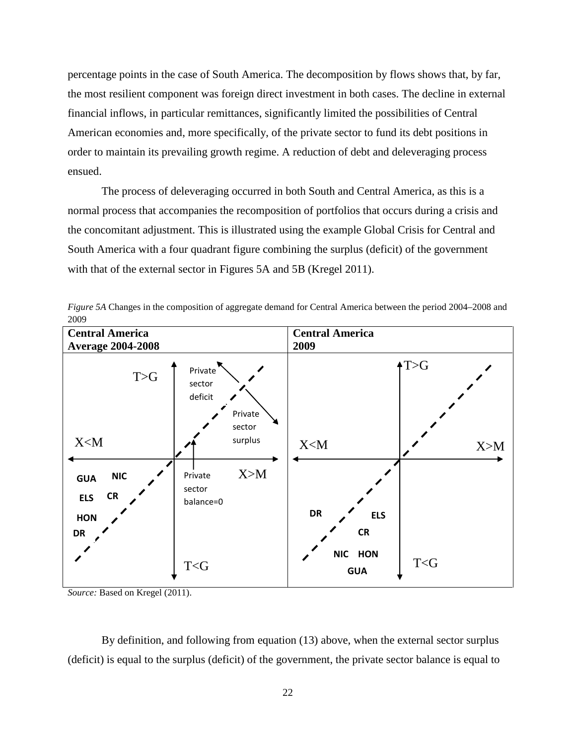percentage points in the case of South America. The decomposition by flows shows that, by far, the most resilient component was foreign direct investment in both cases. The decline in external financial inflows, in particular remittances, significantly limited the possibilities of Central American economies and, more specifically, of the private sector to fund its debt positions in order to maintain its prevailing growth regime. A reduction of debt and deleveraging process ensued.

The process of deleveraging occurred in both South and Central America, as this is a normal process that accompanies the recomposition of portfolios that occurs during a crisis and the concomitant adjustment. This is illustrated using the example Global Crisis for Central and South America with a four quadrant figure combining the surplus (deficit) of the government with that of the external sector in Figures 5A and 5B (Kregel 2011).



*Figure 5A* Changes in the composition of aggregate demand for Central America between the period 2004–2008 and 2009

*Source:* Based on Kregel (2011).

By definition, and following from equation (13) above, when the external sector surplus (deficit) is equal to the surplus (deficit) of the government, the private sector balance is equal to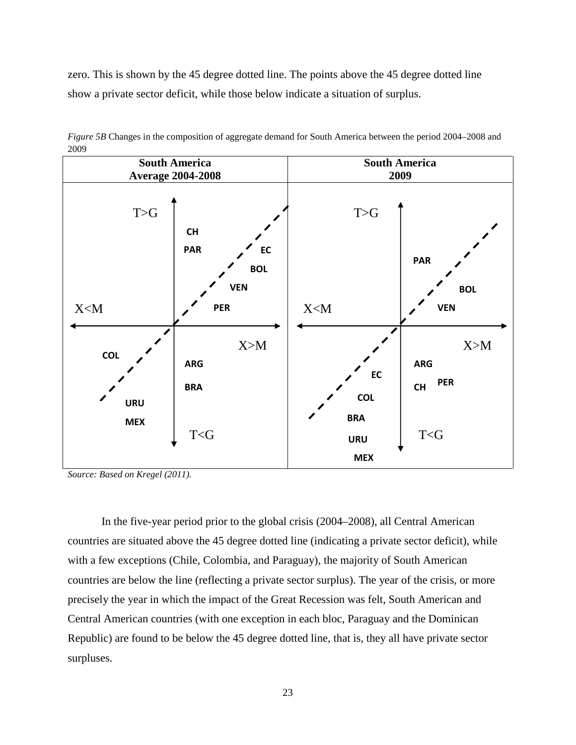zero. This is shown by the 45 degree dotted line. The points above the 45 degree dotted line show a private sector deficit, while those below indicate a situation of surplus.



*Figure 5B* Changes in the composition of aggregate demand for South America between the period 2004–2008 and 2009

*Source: Based on Kregel (2011).*

In the five-year period prior to the global crisis (2004–2008), all Central American countries are situated above the 45 degree dotted line (indicating a private sector deficit), while with a few exceptions (Chile, Colombia, and Paraguay), the majority of South American countries are below the line (reflecting a private sector surplus). The year of the crisis, or more precisely the year in which the impact of the Great Recession was felt, South American and Central American countries (with one exception in each bloc, Paraguay and the Dominican Republic) are found to be below the 45 degree dotted line, that is, they all have private sector surpluses.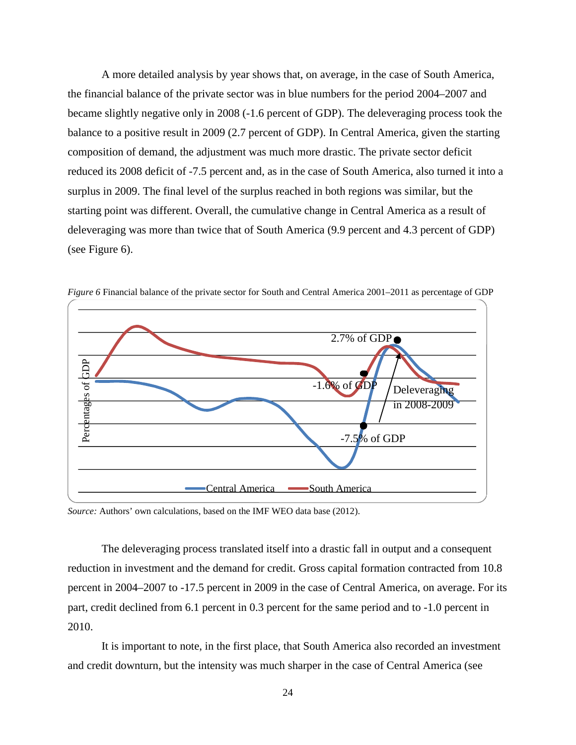A more detailed analysis by year shows that, on average, in the case of South America, the financial balance of the private sector was in blue numbers for the period 2004–2007 and became slightly negative only in 2008 (-1.6 percent of GDP). The deleveraging process took the balance to a positive result in 2009 (2.7 percent of GDP). In Central America, given the starting composition of demand, the adjustment was much more drastic. The private sector deficit reduced its 2008 deficit of -7.5 percent and, as in the case of South America, also turned it into a surplus in 2009. The final level of the surplus reached in both regions was similar, but the starting point was different. Overall, the cumulative change in Central America as a result of deleveraging was more than twice that of South America (9.9 percent and 4.3 percent of GDP) (see Figure 6).



*Figure 6* Financial balance of the private sector for South and Central America 2001–2011 as percentage of GDP

*Source:* Authors' own calculations, based on the IMF WEO data base (2012).

The deleveraging process translated itself into a drastic fall in output and a consequent reduction in investment and the demand for credit. Gross capital formation contracted from 10.8 percent in 2004–2007 to -17.5 percent in 2009 in the case of Central America, on average. For its part, credit declined from 6.1 percent in 0.3 percent for the same period and to -1.0 percent in 2010.

It is important to note, in the first place, that South America also recorded an investment and credit downturn, but the intensity was much sharper in the case of Central America (see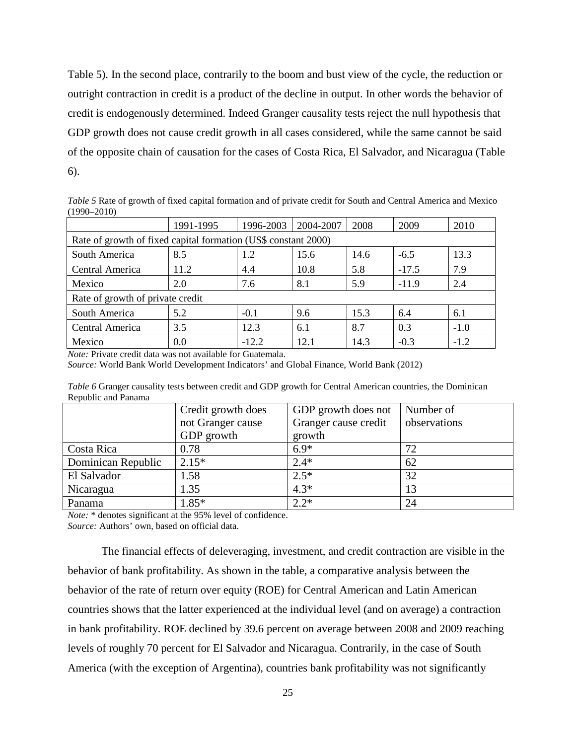Table 5). In the second place, contrarily to the boom and bust view of the cycle, the reduction or outright contraction in credit is a product of the decline in output. In other words the behavior of credit is endogenously determined. Indeed Granger causality tests reject the null hypothesis that GDP growth does not cause credit growth in all cases considered, while the same cannot be said of the opposite chain of causation for the cases of Costa Rica, El Salvador, and Nicaragua (Table 6).

*Table 5* Rate of growth of fixed capital formation and of private credit for South and Central America and Mexico (1990–2010)

|                                                                | 1991-1995   | 1996-2003 | 2004-2007 | 2008 | 2009    | 2010   |  |  |
|----------------------------------------------------------------|-------------|-----------|-----------|------|---------|--------|--|--|
| Rate of growth of fixed capital formation (US\$ constant 2000) |             |           |           |      |         |        |  |  |
| South America                                                  | 8.5         | $-6.5$    | 13.3      |      |         |        |  |  |
| Central America                                                | 11.2<br>4.4 |           | 10.8      | 5.8  | $-17.5$ | 7.9    |  |  |
| Mexico                                                         | 2.0         | 7.6       | 8.1       | 5.9  | $-11.9$ | 2.4    |  |  |
| Rate of growth of private credit                               |             |           |           |      |         |        |  |  |
| South America                                                  | 5.2         | $-0.1$    | 9.6       | 15.3 | 6.4     | 6.1    |  |  |
| Central America                                                | 3.5         | 12.3      | 6.1       | 8.7  | 0.3     | $-1.0$ |  |  |
| Mexico                                                         | 0.0         | $-12.2$   | 12.1      | 14.3 | $-0.3$  | $-1.2$ |  |  |

*Note:* Private credit data was not available for Guatemala.

*Source:* World Bank World Development Indicators' and Global Finance, World Bank (2012)

*Table 6* Granger causality tests between credit and GDP growth for Central American countries, the Dominican Republic and Panama

| Credit growth does |                   | GDP growth does not  | Number of    |
|--------------------|-------------------|----------------------|--------------|
|                    | not Granger cause | Granger cause credit | observations |
|                    | GDP growth        | growth               |              |
| Costa Rica         | 0.78              | $6.9*$               | 72           |
| Dominican Republic | $2.15*$           | $2.4*$               | 62           |
| El Salvador        | 1.58              | $2.5*$               | 32           |
| Nicaragua          | 1.35              | $4.3*$               | 13           |
| Panama             | $1.85*$           | $2.2*$               | 24           |

*Note:* \* denotes significant at the 95% level of confidence.

*Source:* Authors' own, based on official data.

The financial effects of deleveraging, investment, and credit contraction are visible in the behavior of bank profitability. As shown in the table, a comparative analysis between the behavior of the rate of return over equity (ROE) for Central American and Latin American countries shows that the latter experienced at the individual level (and on average) a contraction in bank profitability. ROE declined by 39.6 percent on average between 2008 and 2009 reaching levels of roughly 70 percent for El Salvador and Nicaragua. Contrarily, in the case of South America (with the exception of Argentina), countries bank profitability was not significantly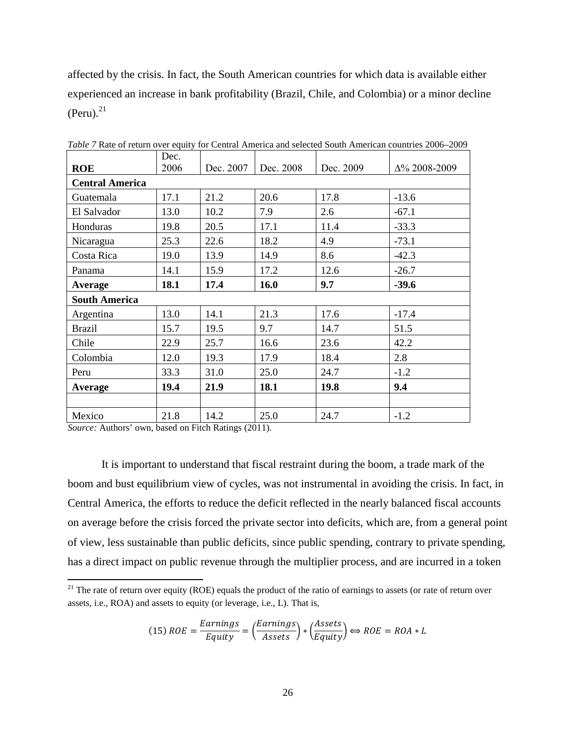affected by the crisis. In fact, the South American countries for which data is available either experienced an increase in bank profitability (Brazil, Chile, and Colombia) or a minor decline  $(Peru).<sup>21</sup>$  $(Peru).<sup>21</sup>$  $(Peru).<sup>21</sup>$ 

|                        | Dec. |           |           |           |                      |
|------------------------|------|-----------|-----------|-----------|----------------------|
| <b>ROE</b>             | 2006 | Dec. 2007 | Dec. 2008 | Dec. 2009 | $\Delta\%$ 2008-2009 |
| <b>Central America</b> |      |           |           |           |                      |
| Guatemala              | 17.1 | 21.2      | 20.6      | 17.8      | $-13.6$              |
| El Salvador            | 13.0 | 10.2      | 7.9       | 2.6       | $-67.1$              |
| Honduras               | 19.8 | 20.5      | 17.1      | 11.4      | $-33.3$              |
| Nicaragua              | 25.3 | 22.6      | 18.2      | 4.9       | $-73.1$              |
| Costa Rica             | 19.0 | 13.9      | 14.9      | 8.6       | $-42.3$              |
| Panama                 | 14.1 | 15.9      | 17.2      | 12.6      | $-26.7$              |
| Average                | 18.1 | 17.4      | 16.0      | 9.7       | $-39.6$              |
| <b>South America</b>   |      |           |           |           |                      |
| Argentina              | 13.0 | 14.1      | 21.3      | 17.6      | $-17.4$              |
| <b>Brazil</b>          | 15.7 | 19.5      | 9.7       | 14.7      | 51.5                 |
| Chile                  | 22.9 | 25.7      | 16.6      | 23.6      | 42.2                 |
| Colombia               | 12.0 | 19.3      | 17.9      | 18.4      | 2.8                  |
| Peru                   | 33.3 | 31.0      | 25.0      | 24.7      | $-1.2$               |
| Average                | 19.4 | 21.9      | 18.1      | 19.8      | 9.4                  |
|                        |      |           |           |           |                      |
| Mexico                 | 21.8 | 14.2      | 25.0      | 24.7      | $-1.2$               |

*Table 7* Rate of return over equity for Central America and selected South American countries 2006–2009

*Source:* Authors' own, based on Fitch Ratings (2011).

It is important to understand that fiscal restraint during the boom, a trade mark of the boom and bust equilibrium view of cycles, was not instrumental in avoiding the crisis. In fact, in Central America, the efforts to reduce the deficit reflected in the nearly balanced fiscal accounts on average before the crisis forced the private sector into deficits, which are, from a general point of view, less sustainable than public deficits, since public spending, contrary to private spending, has a direct impact on public revenue through the multiplier process, and are incurred in a token

$$
(15) ROE = \frac{Earning}{Equity} = \left(\frac{Earnings}{Assets}\right) * \left(\frac{Assets}{Equity}\right) \Leftrightarrow ROE = ROA * L
$$

<span id="page-26-0"></span> $21$  The rate of return over equity (ROE) equals the product of the ratio of earnings to assets (or rate of return over assets, i.e., ROA) and assets to equity (or leverage, i.e., L). That is,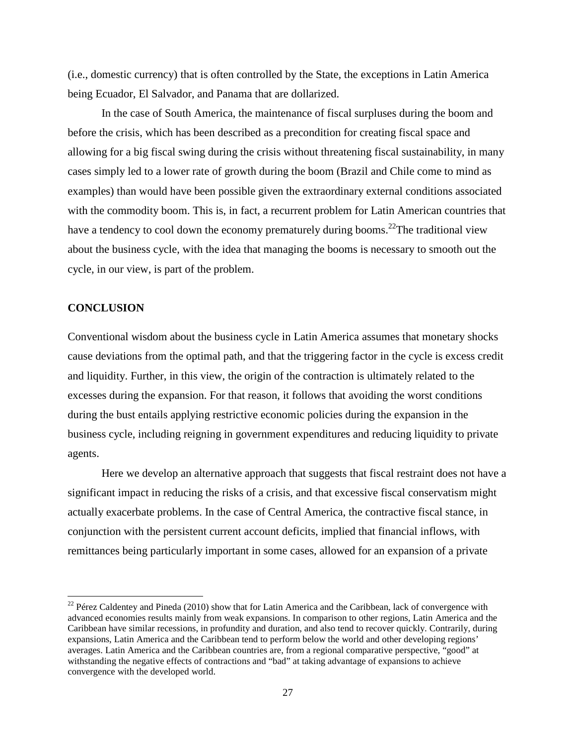(i.e., domestic currency) that is often controlled by the State, the exceptions in Latin America being Ecuador, El Salvador, and Panama that are dollarized.

In the case of South America, the maintenance of fiscal surpluses during the boom and before the crisis, which has been described as a precondition for creating fiscal space and allowing for a big fiscal swing during the crisis without threatening fiscal sustainability, in many cases simply led to a lower rate of growth during the boom (Brazil and Chile come to mind as examples) than would have been possible given the extraordinary external conditions associated with the commodity boom. This is, in fact, a recurrent problem for Latin American countries that have a tendency to cool down the economy prematurely during booms.<sup>22</sup>[T](#page-27-0)he traditional view about the business cycle, with the idea that managing the booms is necessary to smooth out the cycle, in our view, is part of the problem.

### **CONCLUSION**

Conventional wisdom about the business cycle in Latin America assumes that monetary shocks cause deviations from the optimal path, and that the triggering factor in the cycle is excess credit and liquidity. Further, in this view, the origin of the contraction is ultimately related to the excesses during the expansion. For that reason, it follows that avoiding the worst conditions during the bust entails applying restrictive economic policies during the expansion in the business cycle, including reigning in government expenditures and reducing liquidity to private agents.

Here we develop an alternative approach that suggests that fiscal restraint does not have a significant impact in reducing the risks of a crisis, and that excessive fiscal conservatism might actually exacerbate problems. In the case of Central America, the contractive fiscal stance, in conjunction with the persistent current account deficits, implied that financial inflows, with remittances being particularly important in some cases, allowed for an expansion of a private

<span id="page-27-0"></span> $22$  Pérez Caldentey and Pineda (2010) show that for Latin America and the Caribbean, lack of convergence with advanced economies results mainly from weak expansions. In comparison to other regions, Latin America and the Caribbean have similar recessions, in profundity and duration, and also tend to recover quickly. Contrarily, during expansions, Latin America and the Caribbean tend to perform below the world and other developing regions' averages. Latin America and the Caribbean countries are, from a regional comparative perspective, "good" at withstanding the negative effects of contractions and "bad" at taking advantage of expansions to achieve convergence with the developed world.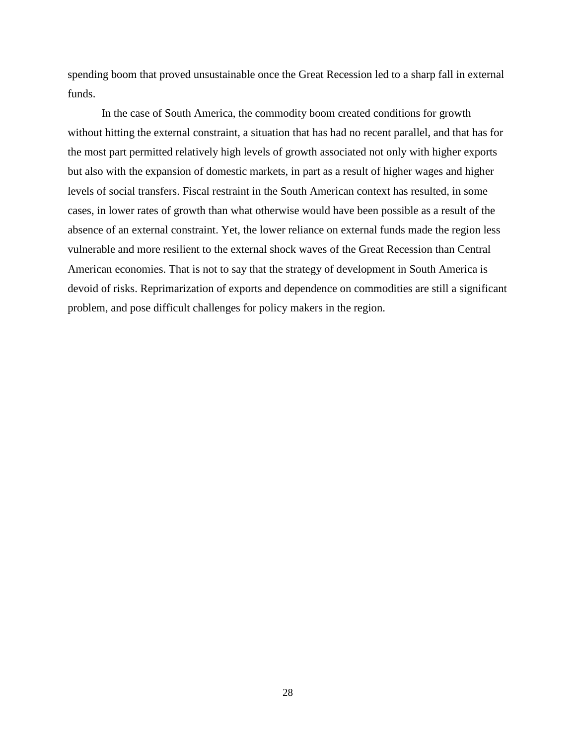spending boom that proved unsustainable once the Great Recession led to a sharp fall in external funds.

In the case of South America, the commodity boom created conditions for growth without hitting the external constraint, a situation that has had no recent parallel, and that has for the most part permitted relatively high levels of growth associated not only with higher exports but also with the expansion of domestic markets, in part as a result of higher wages and higher levels of social transfers. Fiscal restraint in the South American context has resulted, in some cases, in lower rates of growth than what otherwise would have been possible as a result of the absence of an external constraint. Yet, the lower reliance on external funds made the region less vulnerable and more resilient to the external shock waves of the Great Recession than Central American economies. That is not to say that the strategy of development in South America is devoid of risks. Reprimarization of exports and dependence on commodities are still a significant problem, and pose difficult challenges for policy makers in the region.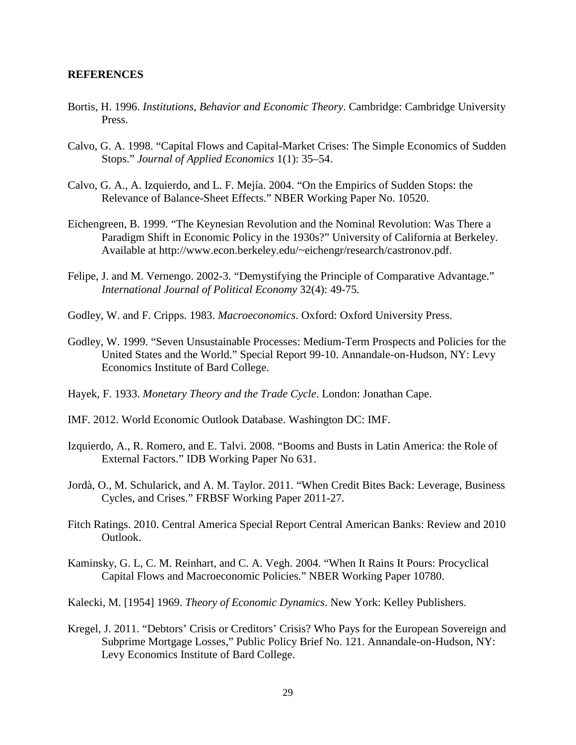### **REFERENCES**

- Bortis, H. 1996. *Institutions, Behavior and Economic Theory*. Cambridge: Cambridge University Press.
- Calvo, G. A. 1998. "Capital Flows and Capital-Market Crises: The Simple Economics of Sudden Stops." *Journal of Applied Economics* 1(1): 35–54.
- Calvo, G. A., A. Izquierdo, and L. F. Mejía. 2004. "On the Empirics of Sudden Stops: the Relevance of Balance-Sheet Effects." NBER Working Paper No. 10520.
- Eichengreen, B. 1999. "The Keynesian Revolution and the Nominal Revolution: Was There a Paradigm Shift in Economic Policy in the 1930s?" University of California at Berkeley. Available at http://www.econ.berkeley.edu/~eichengr/research/castronov.pdf.
- Felipe, J. and M. Vernengo. 2002-3. "Demystifying the Principle of Comparative Advantage." *International Journal of Political Economy* 32(4): 49-75.
- Godley, W. and F. Cripps. 1983. *Macroeconomics*. Oxford: Oxford University Press.
- Godley, W. 1999. "Seven Unsustainable Processes: Medium-Term Prospects and Policies for the United States and the World." Special Report 99-10. Annandale-on-Hudson, NY: Levy Economics Institute of Bard College.
- Hayek, F. 1933. *Monetary Theory and the Trade Cycle*. London: Jonathan Cape.
- IMF. 2012. World Economic Outlook Database. Washington DC: IMF.
- Izquierdo, A., R. Romero, and E. Talvi. 2008. "Booms and Busts in Latin America: the Role of External Factors." IDB Working Paper No 631.
- Jordà, O., M. Schularick, and A. M. Taylor. 2011. "When Credit Bites Back: Leverage, Business Cycles, and Crises." FRBSF Working Paper 2011-27.
- Fitch Ratings. 2010. Central America Special Report Central American Banks: Review and 2010 Outlook.
- Kaminsky, G. L, C. M. Reinhart, and C. A. Vegh. 2004. "When It Rains It Pours: Procyclical Capital Flows and Macroeconomic Policies." NBER Working Paper 10780.
- Kalecki, M. [1954] 1969. *Theory of Economic Dynamics*. New York: Kelley Publishers.
- Kregel, J. 2011. "Debtors' Crisis or Creditors' Crisis? Who Pays for the European Sovereign and Subprime Mortgage Losses," Public Policy Brief No. 121. Annandale-on-Hudson, NY: Levy Economics Institute of Bard College.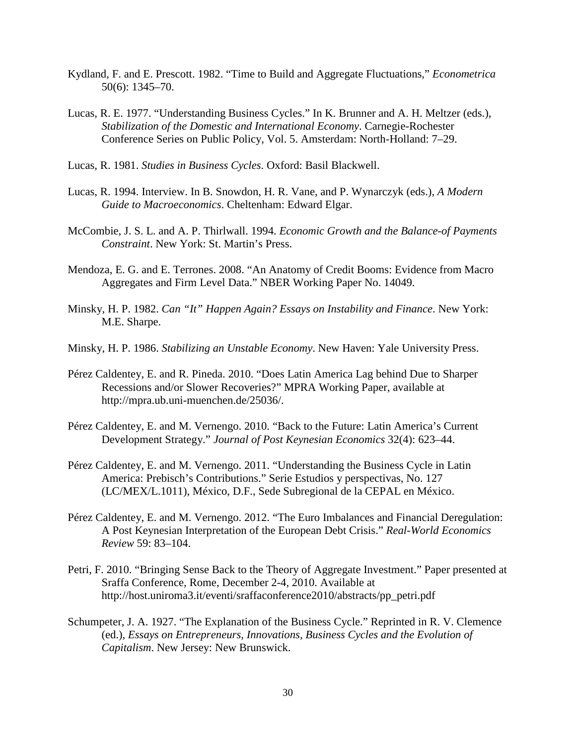- Kydland, F. and E. Prescott. 1982. "Time to Build and Aggregate Fluctuations," *Econometrica* 50(6): 1345–70.
- Lucas, R. E. 1977. "Understanding Business Cycles." In K. Brunner and A. H. Meltzer (eds.), *Stabilization of the Domestic and International Economy*. Carnegie-Rochester Conference Series on Public Policy, Vol. 5. Amsterdam: North-Holland: 7–29.
- Lucas, R. 1981. *Studies in Business Cycles*. Oxford: Basil Blackwell.
- Lucas, R. 1994. Interview. In B. Snowdon, H. R. Vane, and P. Wynarczyk (eds.), *A Modern Guide to Macroeconomics*. Cheltenham: Edward Elgar.
- McCombie, J. S. L. and A. P. Thirlwall. 1994. *Economic Growth and the Balance-of Payments Constraint*. New York: St. Martin's Press.
- Mendoza, E. G. and E. Terrones. 2008. "An Anatomy of Credit Booms: Evidence from Macro Aggregates and Firm Level Data." NBER Working Paper No. 14049.
- Minsky, H. P. 1982. *Can "It" Happen Again? Essays on Instability and Finance*. New York: M.E. Sharpe.
- Minsky, H. P. 1986. *Stabilizing an Unstable Economy*. New Haven: Yale University Press.
- Pérez Caldentey, E. and R. Pineda. 2010. "Does Latin America Lag behind Due to Sharper Recessions and/or Slower Recoveries?" MPRA Working Paper, available at http://mpra.ub.uni-muenchen.de/25036/.
- Pérez Caldentey, E. and M. Vernengo. 2010. "Back to the Future: Latin America's Current Development Strategy." *Journal of Post Keynesian Economics* 32(4): 623–44.
- Pérez Caldentey, E. and M. Vernengo. 2011. "Understanding the Business Cycle in Latin America: Prebisch's Contributions." Serie Estudios y perspectivas, No. 127 (LC/MEX/L.1011), México, D.F., Sede Subregional de la CEPAL en México.
- Pérez Caldentey, E. and M. Vernengo. 2012. "The Euro Imbalances and Financial Deregulation: A Post Keynesian Interpretation of the European Debt Crisis." *Real-World Economics Review* 59: 83–104.
- Petri, F. 2010. "Bringing Sense Back to the Theory of Aggregate Investment." Paper presented at Sraffa Conference, Rome, December 2-4, 2010. Available at http://host.uniroma3.it/eventi/sraffaconference2010/abstracts/pp\_petri.pdf
- Schumpeter, J. A. 1927. "The Explanation of the Business Cycle." Reprinted in R. V. Clemence (ed.), *Essays on Entrepreneurs, Innovations, Business Cycles and the Evolution of Capitalism*. New Jersey: New Brunswick.